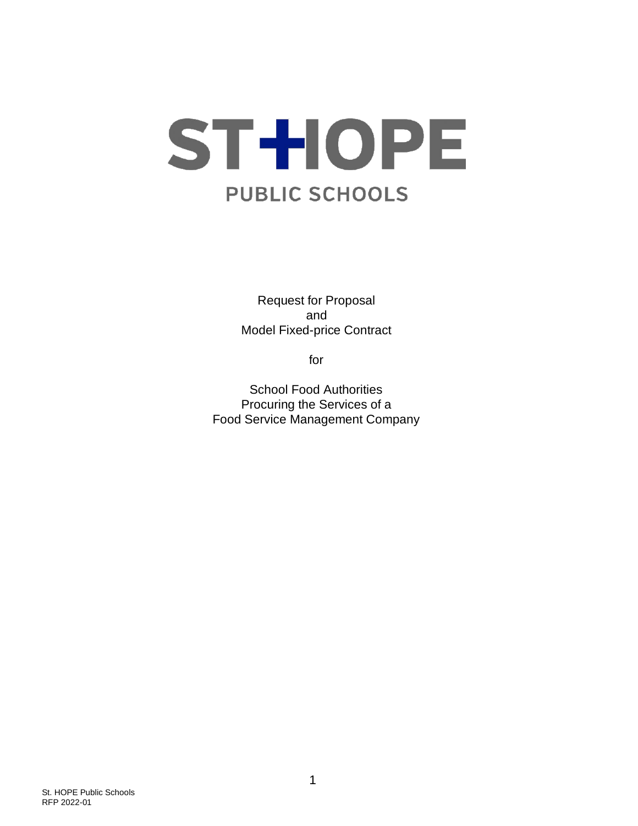

Request for Proposal and Model Fixed-price Contract

for

School Food Authorities Procuring the Services of a Food Service Management Company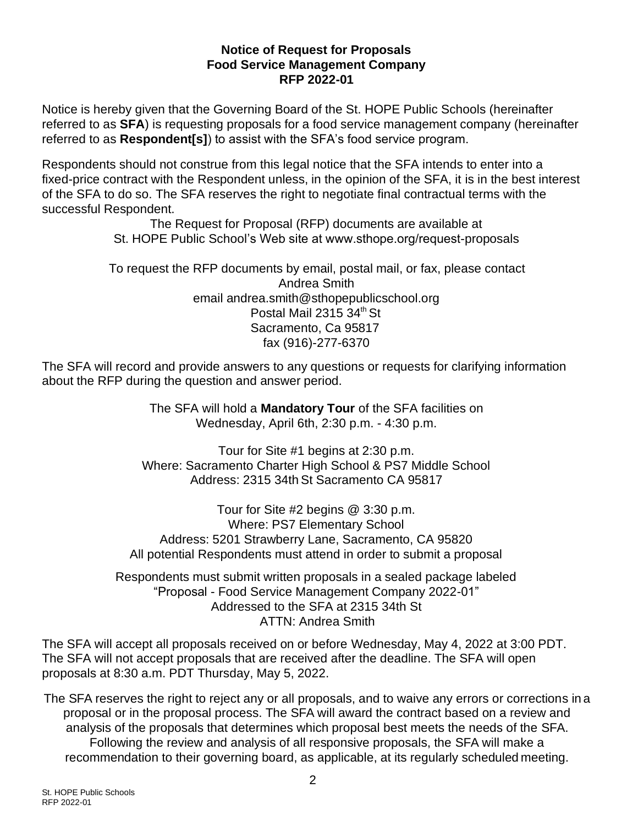#### **Notice of Request for Proposals Food Service Management Company RFP 2022-01**

Notice is hereby given that the Governing Board of the St. HOPE Public Schools (hereinafter referred to as **SFA**) is requesting proposals for a food service management company (hereinafter referred to as **Respondent[s]**) to assist with the SFA's food service program.

Respondents should not construe from this legal notice that the SFA intends to enter into a fixed-price contract with the Respondent unless, in the opinion of the SFA, it is in the best interest of the SFA to do so. The SFA reserves the right to negotiate final contractual terms with the successful Respondent.

> The Request for Proposal (RFP) documents are available at St. HOPE Public Schoo[l's Web site at www.sthope.org/request-proposals](http://www.sthope.org/request-proposals)

To request the RFP documents by email, postal mail, or fax, please contact Andrea Smith [email andrea.smith@sthopepublicschool.org](mailto:andrea.smith@sthopepublicschool.org) Postal Mail 2315 34th St Sacramento, Ca 95817 fax (916)-277-6370

The SFA will record and provide answers to any questions or requests for clarifying information about the RFP during the question and answer period.

> The SFA will hold a **Mandatory Tour** of the SFA facilities on Wednesday, April 6th, 2:30 p.m. - 4:30 p.m.

Tour for Site #1 begins at 2:30 p.m. Where: Sacramento Charter High School & PS7 Middle School Address: 2315 34th St Sacramento CA 95817

Tour for Site #2 begins @ 3:30 p.m. Where: PS7 Elementary School Address: 5201 Strawberry Lane, Sacramento, CA 95820 All potential Respondents must attend in order to submit a proposal

Respondents must submit written proposals in a sealed package labeled "Proposal - Food Service Management Company 2022-01" Addressed to the SFA at 2315 34th St ATTN: Andrea Smith

The SFA will accept all proposals received on or before Wednesday, May 4, 2022 at 3:00 PDT. The SFA will not accept proposals that are received after the deadline. The SFA will open proposals at 8:30 a.m. PDT Thursday, May 5, 2022.

The SFA reserves the right to reject any or all proposals, and to waive any errors or corrections in a proposal or in the proposal process. The SFA will award the contract based on a review and analysis of the proposals that determines which proposal best meets the needs of the SFA. Following the review and analysis of all responsive proposals, the SFA will make a recommendation to their governing board, as applicable, at its regularly scheduled meeting.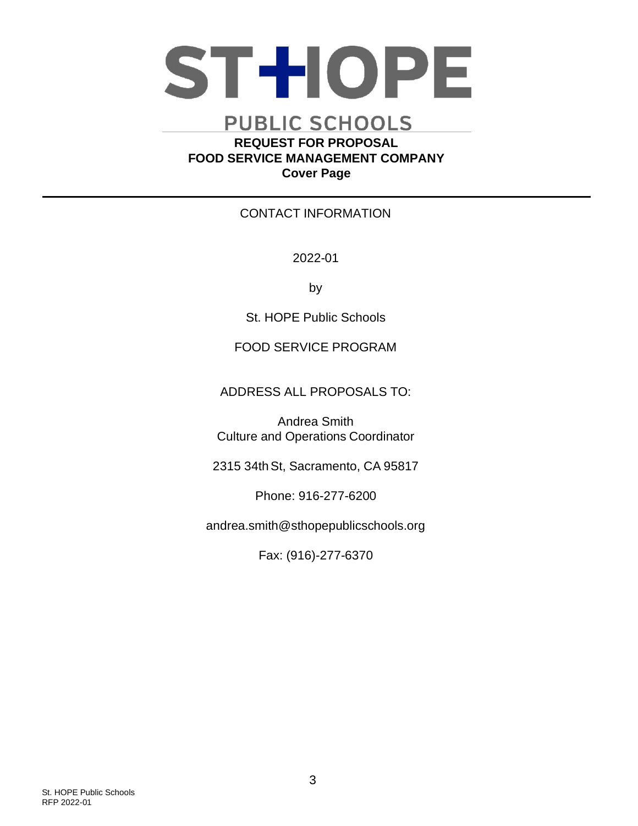# ST+IOPE

#### **PUBLIC SCHOOLS REQUEST FOR PROPOSAL FOOD SERVICE MANAGEMENT COMPANY Cover Page**

CONTACT INFORMATION

2022-01

by

St. HOPE Public Schools

FOOD SERVICE PROGRAM

ADDRESS ALL PROPOSALS TO:

Andrea Smith Culture and Operations Coordinator

2315 34th St, Sacramento, CA 95817

Phone: 916-277-6200

[andrea.smith@sthopepublicschools.org](mailto:andrea.smith@sthopepublicschools.org)

Fax: (916)-277-6370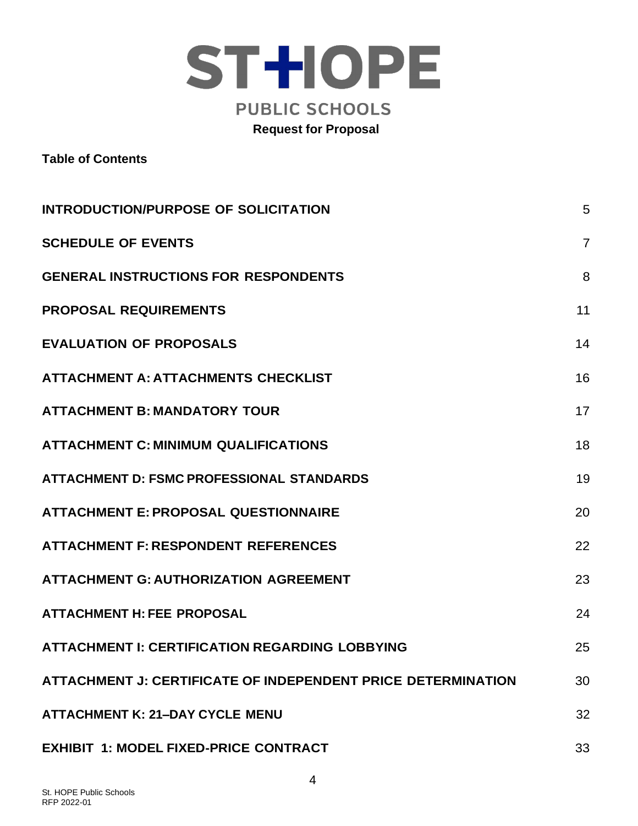

**Table of Contents**

| INTRODUCTION/PURPOSE OF SOLICITATION                         | 5              |
|--------------------------------------------------------------|----------------|
| <b>SCHEDULE OF EVENTS</b>                                    | $\overline{7}$ |
| <b>GENERAL INSTRUCTIONS FOR RESPONDENTS</b>                  | 8              |
| <b>PROPOSAL REQUIREMENTS</b>                                 | 11             |
| <b>EVALUATION OF PROPOSALS</b>                               | 14             |
| <b>ATTACHMENT A: ATTACHMENTS CHECKLIST</b>                   | 16             |
| <b>ATTACHMENT B: MANDATORY TOUR</b>                          | 17             |
| <b>ATTACHMENT C: MINIMUM QUALIFICATIONS</b>                  | 18             |
| <b>ATTACHMENT D: FSMC PROFESSIONAL STANDARDS</b>             | 19             |
| <b>ATTACHMENT E: PROPOSAL QUESTIONNAIRE</b>                  | 20             |
| <b>ATTACHMENT F: RESPONDENT REFERENCES</b>                   | 22             |
| <b>ATTACHMENT G: AUTHORIZATION AGREEMENT</b>                 | 23             |
| <b>ATTACHMENT H: FEE PROPOSAL</b>                            | 24             |
| <b>ATTACHMENT I: CERTIFICATION REGARDING LOBBYING</b>        | 25             |
| ATTACHMENT J: CERTIFICATE OF INDEPENDENT PRICE DETERMINATION | 30             |
| <b>ATTACHMENT K: 21-DAY CYCLE MENU</b>                       | 32             |
| <b>EXHIBIT 1: MODEL FIXED-PRICE CONTRACT</b>                 | 33             |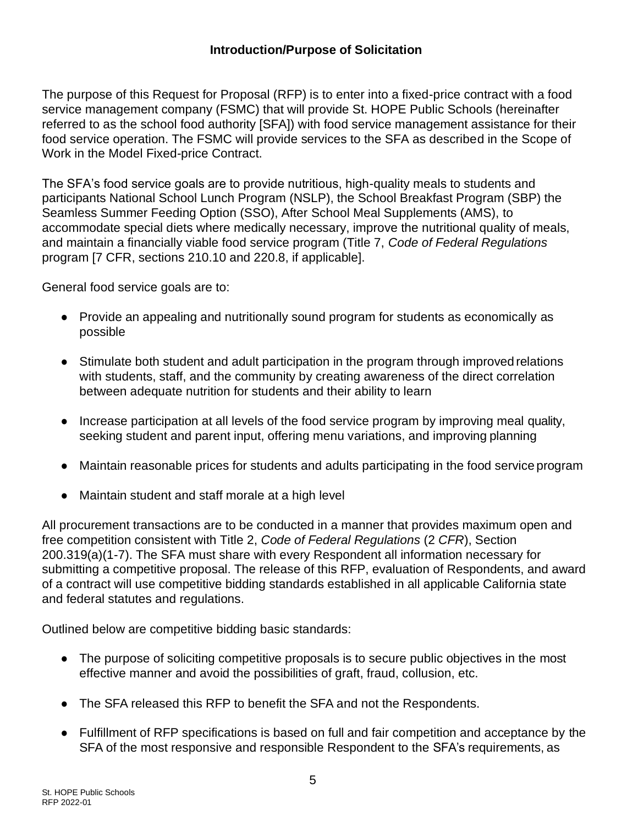The purpose of this Request for Proposal (RFP) is to enter into a fixed-price contract with a food service management company (FSMC) that will provide St. HOPE Public Schools (hereinafter referred to as the school food authority [SFA]) with food service management assistance for their food service operation. The FSMC will provide services to the SFA as described in the Scope of Work in the Model Fixed-price Contract.

The SFA's food service goals are to provide nutritious, high-quality meals to students and participants National School Lunch Program (NSLP), the School Breakfast Program (SBP) the Seamless Summer Feeding Option (SSO), After School Meal Supplements (AMS), to accommodate special diets where medically necessary, improve the nutritional quality of meals, and maintain a financially viable food service program (Title 7, *Code of Federal Regulations*  program [7 CFR, sections 210.10 and 220.8, if applicable].

General food service goals are to:

- Provide an appealing and nutritionally sound program for students as economically as possible
- Stimulate both student and adult participation in the program through improved relations with students, staff, and the community by creating awareness of the direct correlation between adequate nutrition for students and their ability to learn
- Increase participation at all levels of the food service program by improving meal quality, seeking student and parent input, offering menu variations, and improving planning
- Maintain reasonable prices for students and adults participating in the food service program
- Maintain student and staff morale at a high level

All procurement transactions are to be conducted in a manner that provides maximum open and free competition consistent with Title 2, *Code of Federal Regulations* (2 *CFR*), Section 200.319(a)(1-7). The SFA must share with every Respondent all information necessary for submitting a competitive proposal. The release of this RFP, evaluation of Respondents, and award of a contract will use competitive bidding standards established in all applicable California state and federal statutes and regulations.

Outlined below are competitive bidding basic standards:

- The purpose of soliciting competitive proposals is to secure public objectives in the most effective manner and avoid the possibilities of graft, fraud, collusion, etc.
- The SFA released this RFP to benefit the SFA and not the Respondents.
- Fulfillment of RFP specifications is based on full and fair competition and acceptance by the SFA of the most responsive and responsible Respondent to the SFA's requirements, as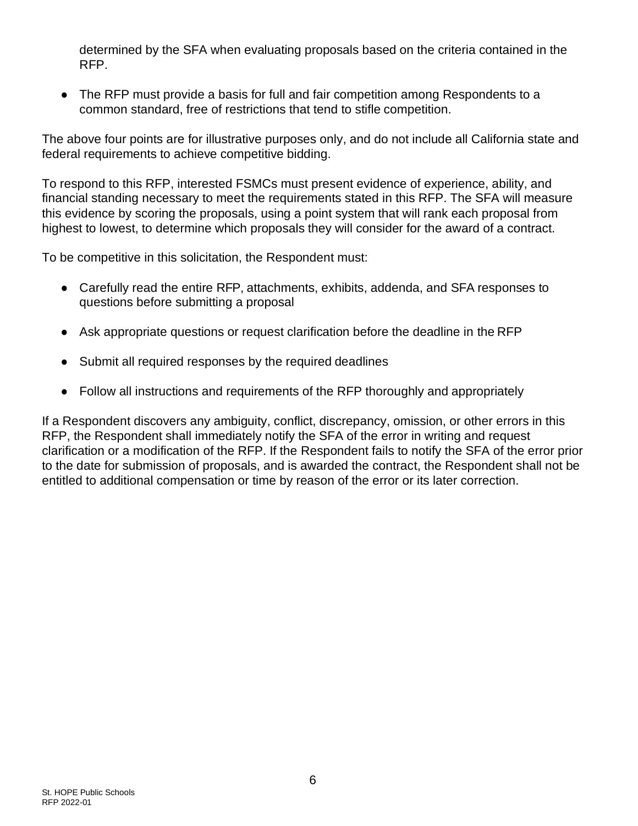determined by the SFA when evaluating proposals based on the criteria contained in the RFP.

● The RFP must provide a basis for full and fair competition among Respondents to a common standard, free of restrictions that tend to stifle competition.

The above four points are for illustrative purposes only, and do not include all California state and federal requirements to achieve competitive bidding.

To respond to this RFP, interested FSMCs must present evidence of experience, ability, and financial standing necessary to meet the requirements stated in this RFP. The SFA will measure this evidence by scoring the proposals, using a point system that will rank each proposal from highest to lowest, to determine which proposals they will consider for the award of a contract.

To be competitive in this solicitation, the Respondent must:

- Carefully read the entire RFP, attachments, exhibits, addenda, and SFA responses to questions before submitting a proposal
- Ask appropriate questions or request clarification before the deadline in the RFP
- Submit all required responses by the required deadlines
- Follow all instructions and requirements of the RFP thoroughly and appropriately

If a Respondent discovers any ambiguity, conflict, discrepancy, omission, or other errors in this RFP, the Respondent shall immediately notify the SFA of the error in writing and request clarification or a modification of the RFP. If the Respondent fails to notify the SFA of the error prior to the date for submission of proposals, and is awarded the contract, the Respondent shall not be entitled to additional compensation or time by reason of the error or its later correction.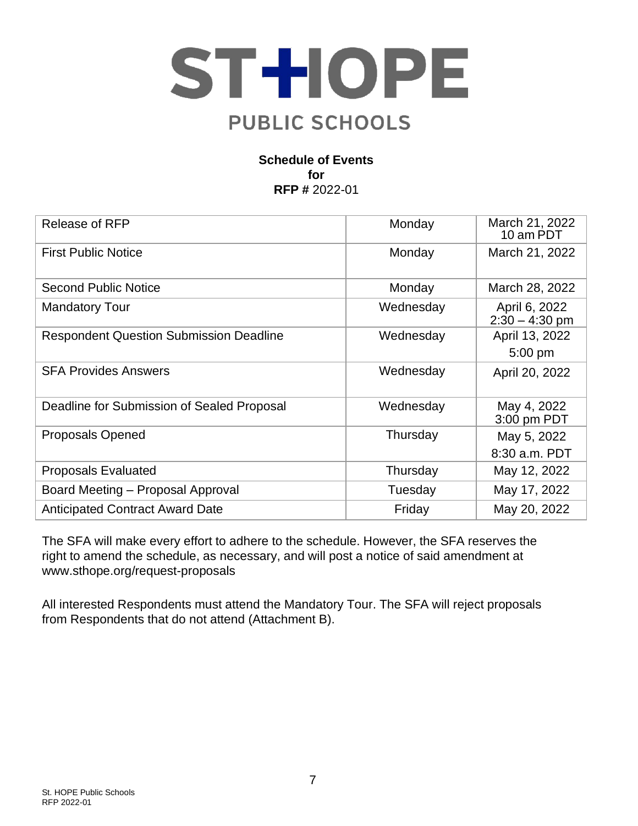

#### **Schedule of Events for RFP #** 2022-01

| Release of RFP                                 | Monday    | March 21, 2022<br>10 am PDT       |
|------------------------------------------------|-----------|-----------------------------------|
| <b>First Public Notice</b>                     | Monday    | March 21, 2022                    |
| <b>Second Public Notice</b>                    | Monday    | March 28, 2022                    |
| <b>Mandatory Tour</b>                          | Wednesday | April 6, 2022<br>$2:30 - 4:30$ pm |
| <b>Respondent Question Submission Deadline</b> | Wednesday | April 13, 2022<br>$5:00$ pm       |
| <b>SFA Provides Answers</b>                    | Wednesday | April 20, 2022                    |
| Deadline for Submission of Sealed Proposal     | Wednesday | May 4, 2022<br>3:00 pm PDT        |
| <b>Proposals Opened</b>                        | Thursday  | May 5, 2022<br>8:30 a.m. PDT      |
| <b>Proposals Evaluated</b>                     | Thursday  | May 12, 2022                      |
| Board Meeting – Proposal Approval              | Tuesday   | May 17, 2022                      |
| <b>Anticipated Contract Award Date</b>         | Friday    | May 20, 2022                      |

The SFA will make every effort to adhere to the schedule. However, the SFA reserves the right to amend the schedule, as necessary, and will post a notice of said amendment at [www.sthope.org/request-proposals](http://www.sthope.org/request-proposals)

All interested Respondents must attend the Mandatory Tour. The SFA will reject proposals from Respondents that do not attend (Attachment B).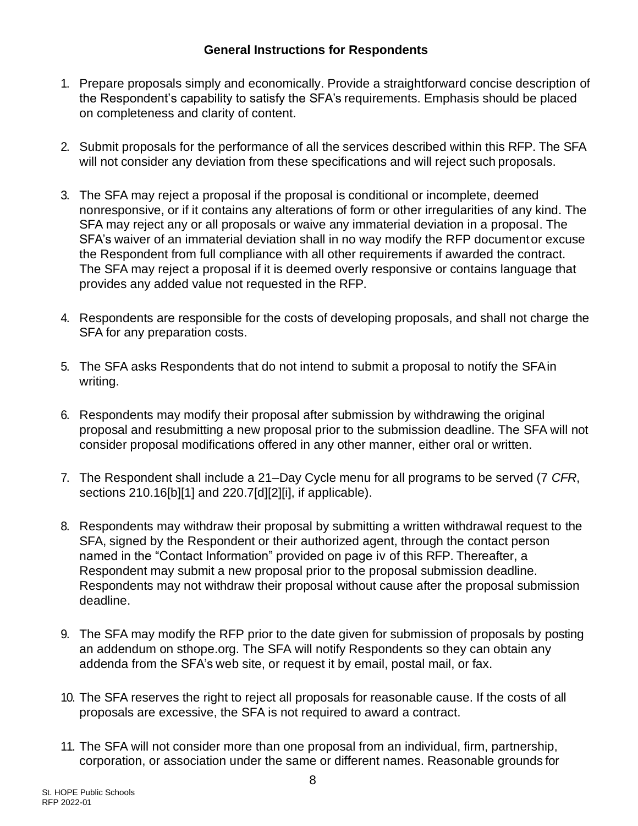#### **General Instructions for Respondents**

- 1. Prepare proposals simply and economically. Provide a straightforward concise description of the Respondent's capability to satisfy the SFA's requirements. Emphasis should be placed on completeness and clarity of content.
- 2. Submit proposals for the performance of all the services described within this RFP. The SFA will not consider any deviation from these specifications and will reject such proposals.
- 3. The SFA may reject a proposal if the proposal is conditional or incomplete, deemed nonresponsive, or if it contains any alterations of form or other irregularities of any kind. The SFA may reject any or all proposals or waive any immaterial deviation in a proposal. The SFA's waiver of an immaterial deviation shall in no way modify the RFP documentor excuse the Respondent from full compliance with all other requirements if awarded the contract. The SFA may reject a proposal if it is deemed overly responsive or contains language that provides any added value not requested in the RFP.
- 4. Respondents are responsible for the costs of developing proposals, and shall not charge the SFA for any preparation costs.
- 5. The SFA asks Respondents that do not intend to submit a proposal to notify the SFAin writing.
- 6. Respondents may modify their proposal after submission by withdrawing the original proposal and resubmitting a new proposal prior to the submission deadline. The SFA will not consider proposal modifications offered in any other manner, either oral or written.
- 7. The Respondent shall include a 21–Day Cycle menu for all programs to be served (7 *CFR*, sections 210.16[b][1] and 220.7[d][2][i], if applicable).
- 8. Respondents may withdraw their proposal by submitting a written withdrawal request to the SFA, signed by the Respondent or their authorized agent, through the contact person named in the "Contact Information" provided on page iv of this RFP. Thereafter, a Respondent may submit a new proposal prior to the proposal submission deadline. Respondents may not withdraw their proposal without cause after the proposal submission deadline.
- 9. The SFA may modify the RFP prior to the date given for submission of proposals by posting an addendum on sthope.org. The SFA will notify Respondents so they can obtain any addenda from the SFA's web site, or request it by email, postal mail, or fax.
- 10. The SFA reserves the right to reject all proposals for reasonable cause. If the costs of all proposals are excessive, the SFA is not required to award a contract.
- 11. The SFA will not consider more than one proposal from an individual, firm, partnership, corporation, or association under the same or different names. Reasonable grounds for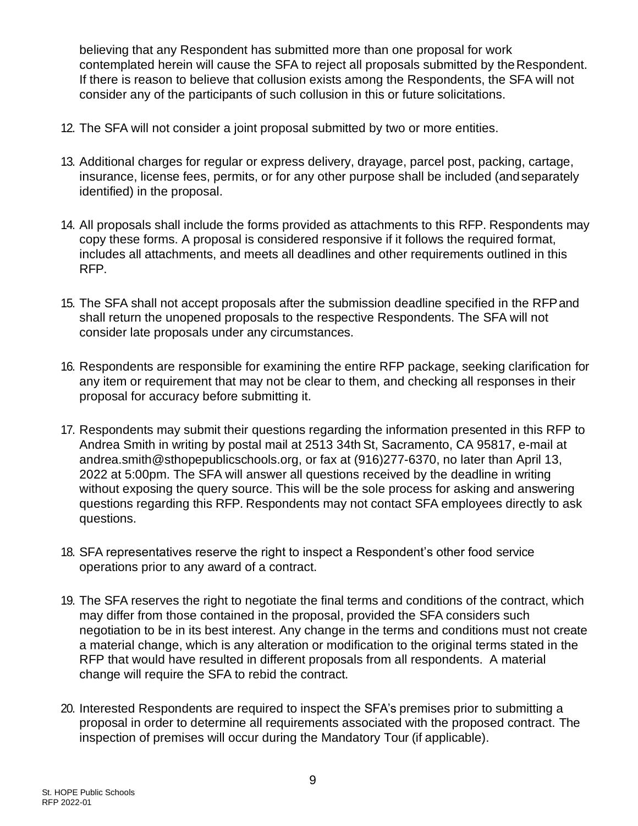believing that any Respondent has submitted more than one proposal for work contemplated herein will cause the SFA to reject all proposals submitted by the Respondent. If there is reason to believe that collusion exists among the Respondents, the SFA will not consider any of the participants of such collusion in this or future solicitations.

- 12. The SFA will not consider a joint proposal submitted by two or more entities.
- 13. Additional charges for regular or express delivery, drayage, parcel post, packing, cartage, insurance, license fees, permits, or for any other purpose shall be included (andseparately identified) in the proposal.
- 14. All proposals shall include the forms provided as attachments to this RFP. Respondents may copy these forms. A proposal is considered responsive if it follows the required format, includes all attachments, and meets all deadlines and other requirements outlined in this RFP.
- 15. The SFA shall not accept proposals after the submission deadline specified in the RFPand shall return the unopened proposals to the respective Respondents. The SFA will not consider late proposals under any circumstances.
- 16. Respondents are responsible for examining the entire RFP package, seeking clarification for any item or requirement that may not be clear to them, and checking all responses in their proposal for accuracy before submitting it.
- 17. Respondents may submit their questions regarding the information presented in this RFP to Andrea Smith in writing by postal mail at 2513 34th St, Sacramento, CA 95817, e-mail a[t](mailto:andrea.smith@sthopepublicschools.org) [andrea.smith@sthopepublicschools.org, o](mailto:andrea.smith@sthopepublicschools.org)r fax at (916)277-6370, no later than April 13, 2022 at 5:00pm. The SFA will answer all questions received by the deadline in writing without exposing the query source. This will be the sole process for asking and answering questions regarding this RFP. Respondents may not contact SFA employees directly to ask questions.
- 18. SFA representatives reserve the right to inspect a Respondent's other food service operations prior to any award of a contract.
- 19. The SFA reserves the right to negotiate the final terms and conditions of the contract, which may differ from those contained in the proposal, provided the SFA considers such negotiation to be in its best interest. Any change in the terms and conditions must not create a material change, which is any alteration or modification to the original terms stated in the RFP that would have resulted in different proposals from all respondents. A material change will require the SFA to rebid the contract.
- 20. Interested Respondents are required to inspect the SFA's premises prior to submitting a proposal in order to determine all requirements associated with the proposed contract. The inspection of premises will occur during the Mandatory Tour (if applicable).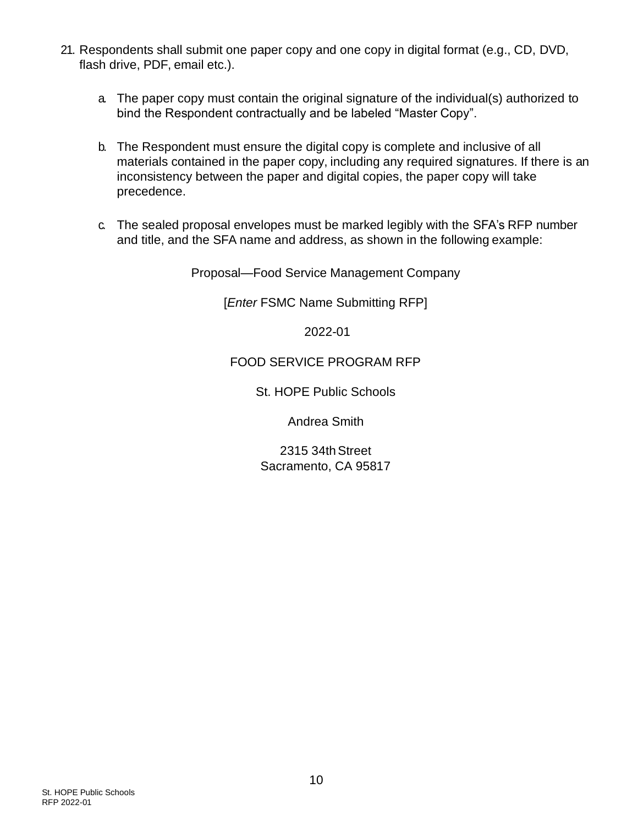- 21. Respondents shall submit one paper copy and one copy in digital format (e.g., CD, DVD, flash drive, PDF, email etc.).
	- a. The paper copy must contain the original signature of the individual(s) authorized to bind the Respondent contractually and be labeled "Master Copy".
	- b. The Respondent must ensure the digital copy is complete and inclusive of all materials contained in the paper copy, including any required signatures. If there is an inconsistency between the paper and digital copies, the paper copy will take precedence.
	- c. The sealed proposal envelopes must be marked legibly with the SFA's RFP number and title, and the SFA name and address, as shown in the following example:

Proposal—Food Service Management Company

[*Enter* FSMC Name Submitting RFP]

#### 2022-01

#### FOOD SERVICE PROGRAM RFP

St. HOPE Public Schools

Andrea Smith

2315 34th Street Sacramento, CA 95817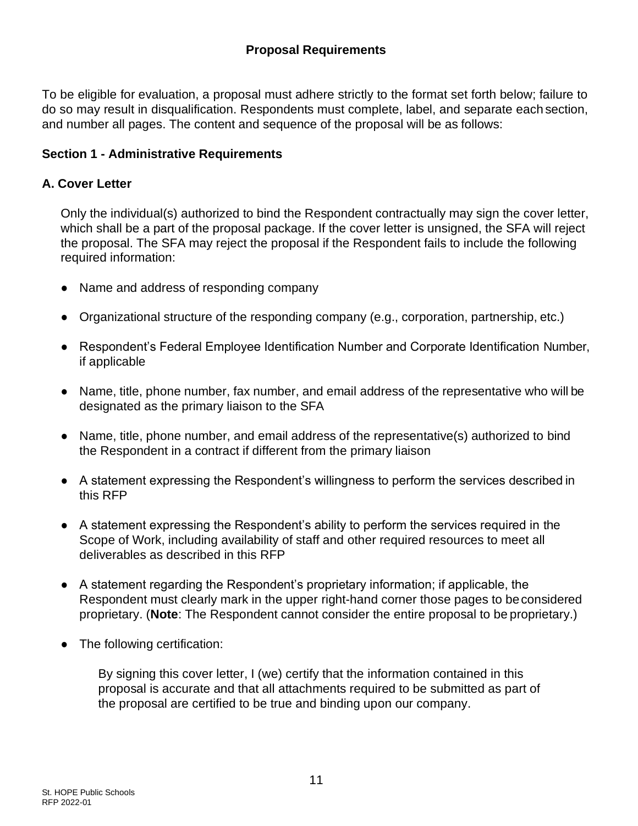To be eligible for evaluation, a proposal must adhere strictly to the format set forth below; failure to do so may result in disqualification. Respondents must complete, label, and separate each section, and number all pages. The content and sequence of the proposal will be as follows:

#### **Section 1 - Administrative Requirements**

#### **A. Cover Letter**

Only the individual(s) authorized to bind the Respondent contractually may sign the cover letter, which shall be a part of the proposal package. If the cover letter is unsigned, the SFA will reject the proposal. The SFA may reject the proposal if the Respondent fails to include the following required information:

- Name and address of responding company
- Organizational structure of the responding company (e.g., corporation, partnership, etc.)
- Respondent's Federal Employee Identification Number and Corporate Identification Number, if applicable
- Name, title, phone number, fax number, and email address of the representative who will be designated as the primary liaison to the SFA
- Name, title, phone number, and email address of the representative(s) authorized to bind the Respondent in a contract if different from the primary liaison
- A statement expressing the Respondent's willingness to perform the services described in this RFP
- A statement expressing the Respondent's ability to perform the services required in the Scope of Work, including availability of staff and other required resources to meet all deliverables as described in this RFP
- A statement regarding the Respondent's proprietary information; if applicable, the Respondent must clearly mark in the upper right-hand corner those pages to beconsidered proprietary. (**Note**: The Respondent cannot consider the entire proposal to be proprietary.)
- The following certification:

By signing this cover letter, I (we) certify that the information contained in this proposal is accurate and that all attachments required to be submitted as part of the proposal are certified to be true and binding upon our company.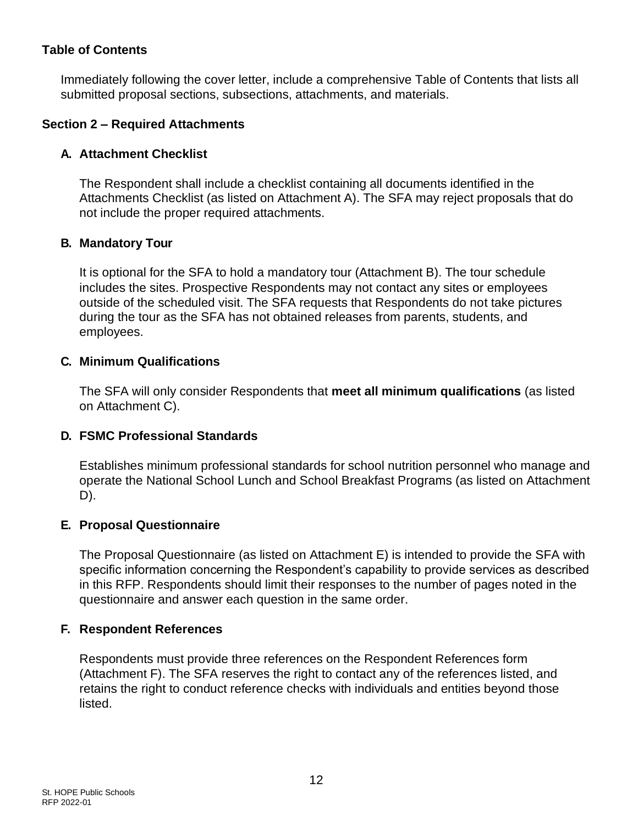#### **Table of Contents**

Immediately following the cover letter, include a comprehensive Table of Contents that lists all submitted proposal sections, subsections, attachments, and materials.

#### **Section 2 – Required Attachments**

#### **A. Attachment Checklist**

The Respondent shall include a checklist containing all documents identified in the Attachments Checklist (as listed on Attachment A). The SFA may reject proposals that do not include the proper required attachments.

#### **B. Mandatory Tour**

It is optional for the SFA to hold a mandatory tour (Attachment B). The tour schedule includes the sites. Prospective Respondents may not contact any sites or employees outside of the scheduled visit. The SFA requests that Respondents do not take pictures during the tour as the SFA has not obtained releases from parents, students, and employees.

#### **C. Minimum Qualifications**

The SFA will only consider Respondents that **meet all minimum qualifications** (as listed on Attachment C).

#### **D. FSMC Professional Standards**

Establishes minimum professional standards for school nutrition personnel who manage and operate the National School Lunch and School Breakfast Programs (as listed on Attachment D).

#### **E. Proposal Questionnaire**

The Proposal Questionnaire (as listed on Attachment E) is intended to provide the SFA with specific information concerning the Respondent's capability to provide services as described in this RFP. Respondents should limit their responses to the number of pages noted in the questionnaire and answer each question in the same order.

#### **F. Respondent References**

Respondents must provide three references on the Respondent References form (Attachment F). The SFA reserves the right to contact any of the references listed, and retains the right to conduct reference checks with individuals and entities beyond those listed.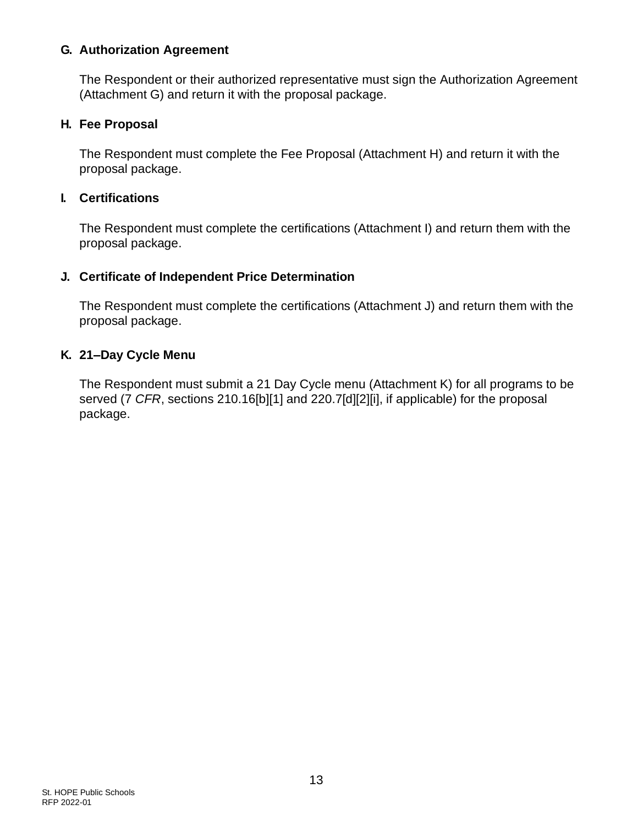#### **G. Authorization Agreement**

The Respondent or their authorized representative must sign the Authorization Agreement (Attachment G) and return it with the proposal package.

#### **H. Fee Proposal**

The Respondent must complete the Fee Proposal (Attachment H) and return it with the proposal package.

#### **I. Certifications**

The Respondent must complete the certifications (Attachment I) and return them with the proposal package.

#### **J. Certificate of Independent Price Determination**

The Respondent must complete the certifications (Attachment J) and return them with the proposal package.

#### **K. 21–Day Cycle Menu**

The Respondent must submit a 21 Day Cycle menu (Attachment K) for all programs to be served (7 *CFR*, sections 210.16[b][1] and 220.7[d][2][i], if applicable) for the proposal package.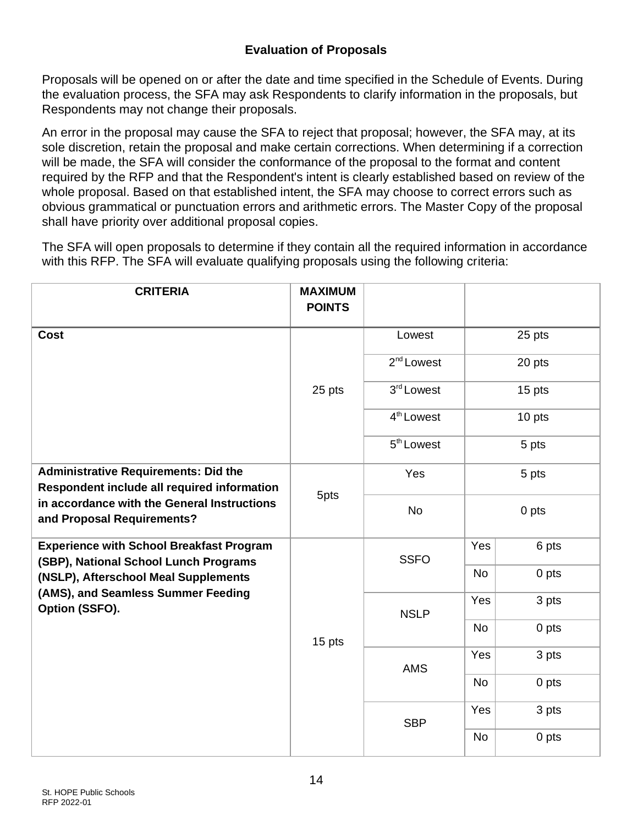Proposals will be opened on or after the date and time specified in the Schedule of Events. During the evaluation process, the SFA may ask Respondents to clarify information in the proposals, but Respondents may not change their proposals.

An error in the proposal may cause the SFA to reject that proposal; however, the SFA may, at its sole discretion, retain the proposal and make certain corrections. When determining if a correction will be made, the SFA will consider the conformance of the proposal to the format and content required by the RFP and that the Respondent's intent is clearly established based on review of the whole proposal. Based on that established intent, the SFA may choose to correct errors such as obvious grammatical or punctuation errors and arithmetic errors. The Master Copy of the proposal shall have priority over additional proposal copies.

The SFA will open proposals to determine if they contain all the required information in accordance with this RFP. The SFA will evaluate qualifying proposals using the following criteria:

| <b>CRITERIA</b>                                                                            | <b>MAXIMUM</b><br><b>POINTS</b> |                        |           |                  |
|--------------------------------------------------------------------------------------------|---------------------------------|------------------------|-----------|------------------|
| Cost                                                                                       |                                 | Lowest                 |           | 25 pts           |
|                                                                                            |                                 | 2 <sup>nd</sup> Lowest |           | 20 pts           |
|                                                                                            | 25 pts                          | 3rd Lowest             | 15 pts    |                  |
|                                                                                            |                                 | 4 <sup>th</sup> Lowest |           | 10 pts           |
|                                                                                            |                                 | 5 <sup>th</sup> Lowest |           | 5 pts            |
| <b>Administrative Requirements: Did the</b><br>Respondent include all required information | 5pts                            | Yes                    |           | 5 pts            |
| in accordance with the General Instructions<br>and Proposal Requirements?                  |                                 | <b>No</b>              |           | 0 pts            |
| <b>Experience with School Breakfast Program</b><br>(SBP), National School Lunch Programs   |                                 | <b>SSFO</b>            | Yes       | 6 pts            |
| (NSLP), Afterschool Meal Supplements                                                       |                                 |                        | No        | 0 pts            |
| (AMS), and Seamless Summer Feeding<br>Option (SSFO).                                       |                                 | <b>NSLP</b>            | Yes       | 3 pts            |
|                                                                                            | 15 pts                          |                        | <b>No</b> | 0 <sub>pts</sub> |
|                                                                                            | <b>AMS</b>                      | Yes                    | 3 pts     |                  |
|                                                                                            |                                 |                        | <b>No</b> | 0 pts            |
|                                                                                            |                                 | <b>SBP</b>             | Yes       | 3 pts            |
|                                                                                            |                                 |                        | No        | 0 pts            |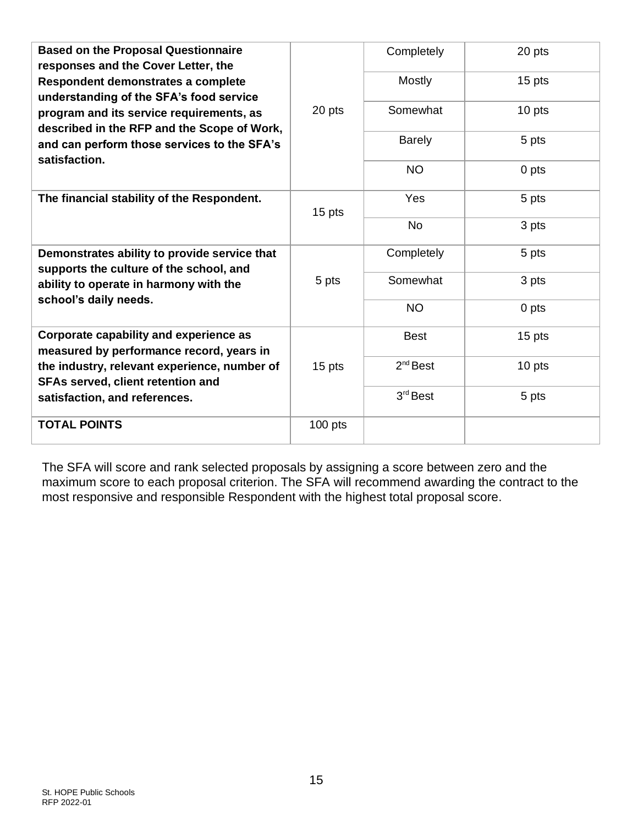| <b>Based on the Proposal Questionnaire</b><br>responses and the Cover Letter, the        |           | Completely    | 20 pts |
|------------------------------------------------------------------------------------------|-----------|---------------|--------|
| Respondent demonstrates a complete<br>understanding of the SFA's food service            | 20 pts    | Mostly        | 15 pts |
| program and its service requirements, as<br>described in the RFP and the Scope of Work,  |           | Somewhat      | 10 pts |
| and can perform those services to the SFA's<br>satisfaction.                             |           | <b>Barely</b> | 5 pts  |
|                                                                                          |           | <b>NO</b>     | 0 pts  |
| The financial stability of the Respondent.                                               | 15 pts    | Yes           | 5 pts  |
|                                                                                          |           | No.           | 3 pts  |
| Demonstrates ability to provide service that<br>supports the culture of the school, and  |           | Completely    | 5 pts  |
| ability to operate in harmony with the<br>school's daily needs.                          | 5 pts     | Somewhat      | 3 pts  |
|                                                                                          |           | <b>NO</b>     | 0 pts  |
| Corporate capability and experience as<br>measured by performance record, years in       |           | <b>Best</b>   | 15 pts |
| the industry, relevant experience, number of<br><b>SFAs served, client retention and</b> | 15 pts    | $2nd$ Best    | 10 pts |
| satisfaction, and references.                                                            |           | $3rd$ Best    | 5 pts  |
| <b>TOTAL POINTS</b>                                                                      | $100$ pts |               |        |

The SFA will score and rank selected proposals by assigning a score between zero and the maximum score to each proposal criterion. The SFA will recommend awarding the contract to the most responsive and responsible Respondent with the highest total proposal score.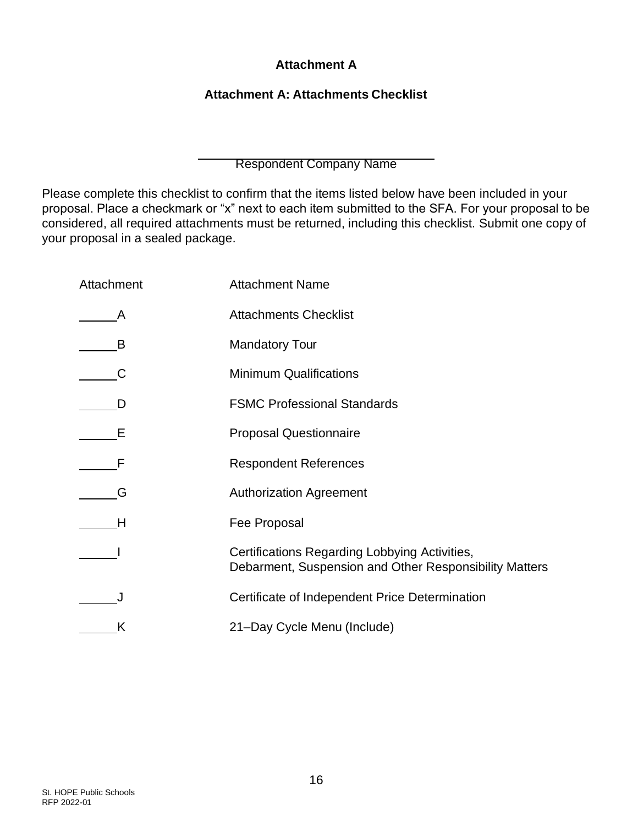#### **Attachment A**

#### **Attachment A: Attachments Checklist**

Respondent Company Name

Please complete this checklist to confirm that the items listed below have been included in your proposal. Place a checkmark or "x" next to each item submitted to the SFA. For your proposal to be considered, all required attachments must be returned, including this checklist. Submit one copy of your proposal in a sealed package.

| Attachment | <b>Attachment Name</b>                                                                                  |
|------------|---------------------------------------------------------------------------------------------------------|
| A          | <b>Attachments Checklist</b>                                                                            |
| B          | <b>Mandatory Tour</b>                                                                                   |
|            | <b>Minimum Qualifications</b>                                                                           |
| D          | <b>FSMC Professional Standards</b>                                                                      |
| Е          | <b>Proposal Questionnaire</b>                                                                           |
| F          | <b>Respondent References</b>                                                                            |
| G          | <b>Authorization Agreement</b>                                                                          |
| Н          | Fee Proposal                                                                                            |
|            | Certifications Regarding Lobbying Activities,<br>Debarment, Suspension and Other Responsibility Matters |
|            | Certificate of Independent Price Determination                                                          |
| Κ          | 21-Day Cycle Menu (Include)                                                                             |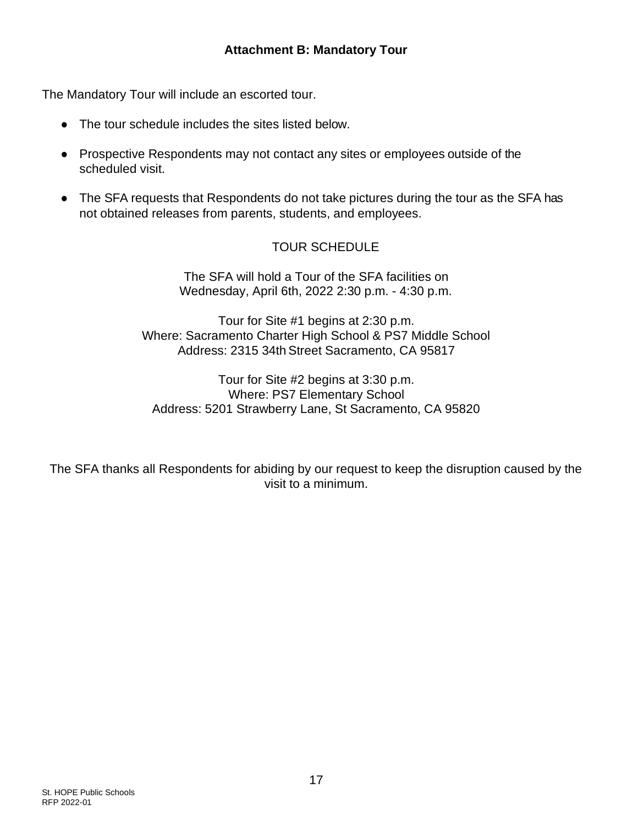The Mandatory Tour will include an escorted tour.

- The tour schedule includes the sites listed below.
- Prospective Respondents may not contact any sites or employees outside of the scheduled visit.
- The SFA requests that Respondents do not take pictures during the tour as the SFA has not obtained releases from parents, students, and employees.

#### TOUR SCHEDULE

The SFA will hold a Tour of the SFA facilities on Wednesday, April 6th, 2022 2:30 p.m. - 4:30 p.m.

Tour for Site #1 begins at 2:30 p.m. Where: Sacramento Charter High School & PS7 Middle School Address: 2315 34th Street Sacramento, CA 95817

Tour for Site #2 begins at 3:30 p.m. Where: PS7 Elementary School Address: 5201 Strawberry Lane, St Sacramento, CA 95820

The SFA thanks all Respondents for abiding by our request to keep the disruption caused by the visit to a minimum.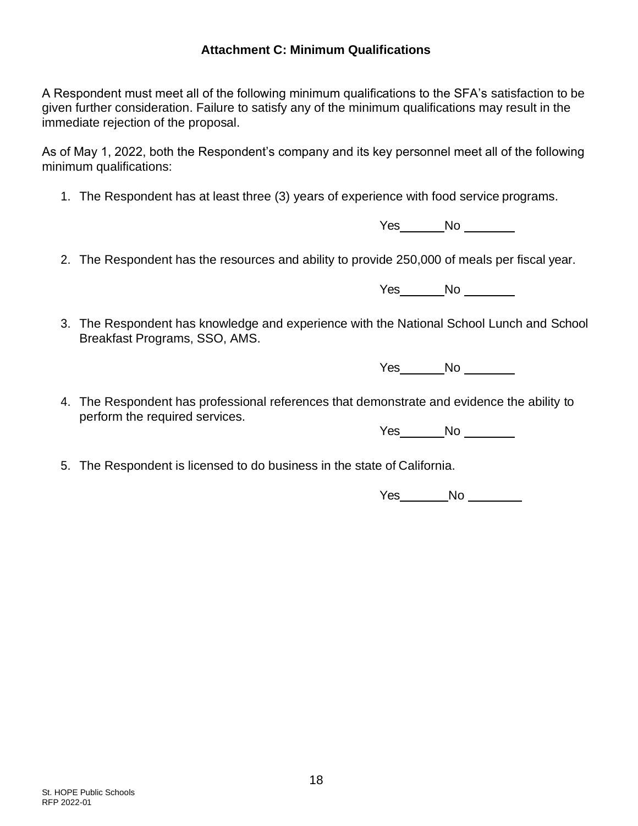#### **Attachment C: Minimum Qualifications**

A Respondent must meet all of the following minimum qualifications to the SFA's satisfaction to be given further consideration. Failure to satisfy any of the minimum qualifications may result in the immediate rejection of the proposal.

As of May 1, 2022, both the Respondent's company and its key personnel meet all of the following minimum qualifications:

1. The Respondent has at least three (3) years of experience with food service programs.

Yes No

2. The Respondent has the resources and ability to provide 250,000 of meals per fiscal year.

Yes No

3. The Respondent has knowledge and experience with the National School Lunch and School Breakfast Programs, SSO, AMS.

Yes No

4. The Respondent has professional references that demonstrate and evidence the ability to perform the required services.

Yes No

5. The Respondent is licensed to do business in the state of California.

Yes\_\_\_\_\_\_\_\_No \_\_\_\_\_\_\_\_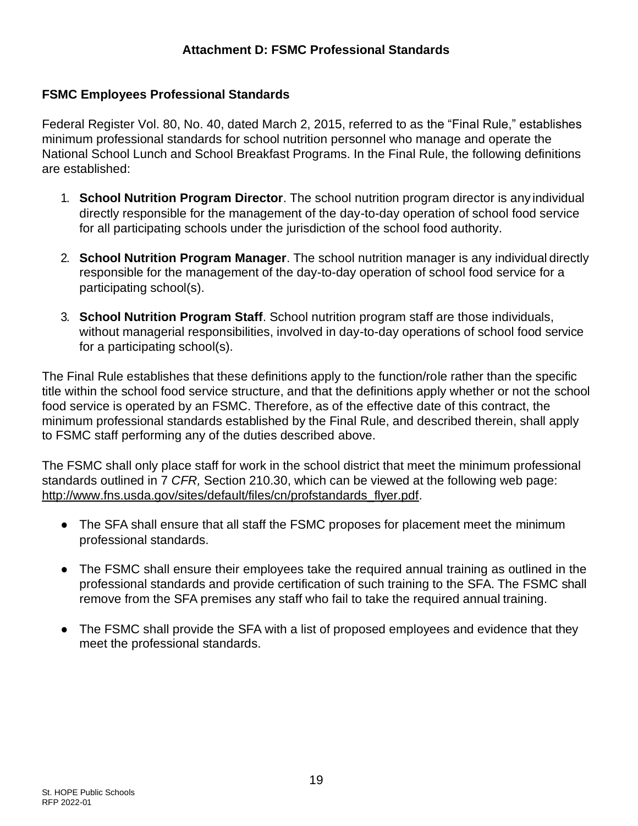#### **FSMC Employees Professional Standards**

Federal Register Vol. 80, No. 40, dated March 2, 2015, referred to as the "Final Rule," establishes minimum professional standards for school nutrition personnel who manage and operate the National School Lunch and School Breakfast Programs. In the Final Rule, the following definitions are established:

- 1. **School Nutrition Program Director**. The school nutrition program director is any individual directly responsible for the management of the day-to-day operation of school food service for all participating schools under the jurisdiction of the school food authority.
- 2. **School Nutrition Program Manager**. The school nutrition manager is any individual directly responsible for the management of the day-to-day operation of school food service for a participating school(s).
- 3. **School Nutrition Program Staff**. School nutrition program staff are those individuals, without managerial responsibilities, involved in day-to-day operations of school food service for a participating school(s).

The Final Rule establishes that these definitions apply to the function/role rather than the specific title within the school food service structure, and that the definitions apply whether or not the school food service is operated by an FSMC. Therefore, as of the effective date of this contract, the minimum professional standards established by the Final Rule, and described therein, shall apply to FSMC staff performing any of the duties described above.

The FSMC shall only place staff for work in the school district that meet the minimum professional standards outlined in 7 *CFR,* Section 210.30, which can be viewed at the following web page: [http://www.fns.usda.gov/sites/default/files/cn/profstandards\\_flyer.pdf.](http://www.fns.usda.gov/sites/default/files/cn/profstandards_flyer.pdf)

- The SFA shall ensure that all staff the FSMC proposes for placement meet the minimum professional standards.
- The FSMC shall ensure their employees take the required annual training as outlined in the professional standards and provide certification of such training to the SFA. The FSMC shall remove from the SFA premises any staff who fail to take the required annual training.
- The FSMC shall provide the SFA with a list of proposed employees and evidence that they meet the professional standards.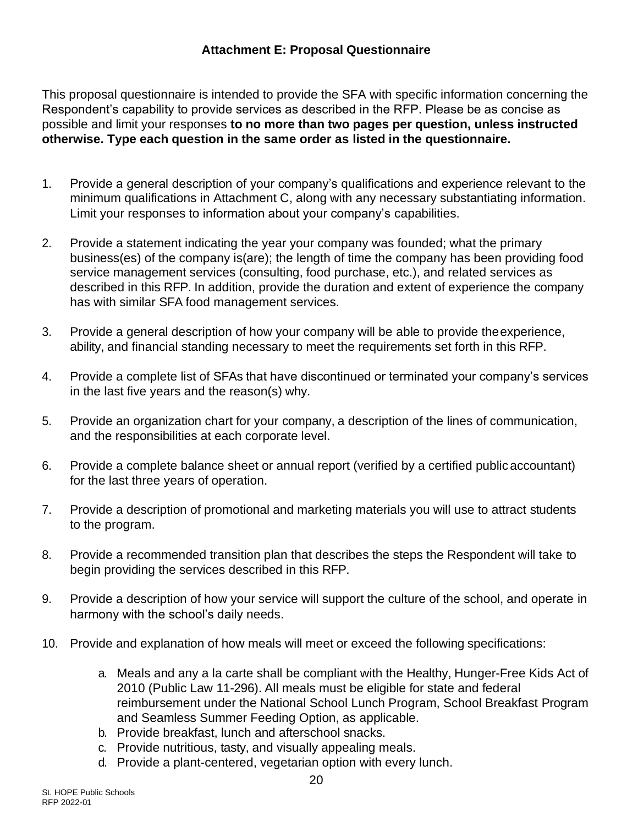#### **Attachment E: Proposal Questionnaire**

This proposal questionnaire is intended to provide the SFA with specific information concerning the Respondent's capability to provide services as described in the RFP. Please be as concise as possible and limit your responses **to no more than two pages per question, unless instructed otherwise. Type each question in the same order as listed in the questionnaire.**

- 1. Provide a general description of your company's qualifications and experience relevant to the minimum qualifications in Attachment C, along with any necessary substantiating information. Limit your responses to information about your company's capabilities.
- 2. Provide a statement indicating the year your company was founded; what the primary business(es) of the company is(are); the length of time the company has been providing food service management services (consulting, food purchase, etc.), and related services as described in this RFP. In addition, provide the duration and extent of experience the company has with similar SFA food management services.
- 3. Provide a general description of how your company will be able to provide theexperience, ability, and financial standing necessary to meet the requirements set forth in this RFP.
- 4. Provide a complete list of SFAs that have discontinued or terminated your company's services in the last five years and the reason(s) why.
- 5. Provide an organization chart for your company, a description of the lines of communication, and the responsibilities at each corporate level.
- 6. Provide a complete balance sheet or annual report (verified by a certified public accountant) for the last three years of operation.
- 7. Provide a description of promotional and marketing materials you will use to attract students to the program.
- 8. Provide a recommended transition plan that describes the steps the Respondent will take to begin providing the services described in this RFP.
- 9. Provide a description of how your service will support the culture of the school, and operate in harmony with the school's daily needs.
- 10. Provide and explanation of how meals will meet or exceed the following specifications:
	- a. Meals and any a la carte shall be compliant with the Healthy, Hunger-Free Kids Act of 2010 (Public Law 11-296). All meals must be eligible for state and federal reimbursement under the National School Lunch Program, School Breakfast Program and Seamless Summer Feeding Option, as applicable.
	- b. Provide breakfast, lunch and afterschool snacks.
	- c. Provide nutritious, tasty, and visually appealing meals.
	- d. Provide a plant-centered, vegetarian option with every lunch.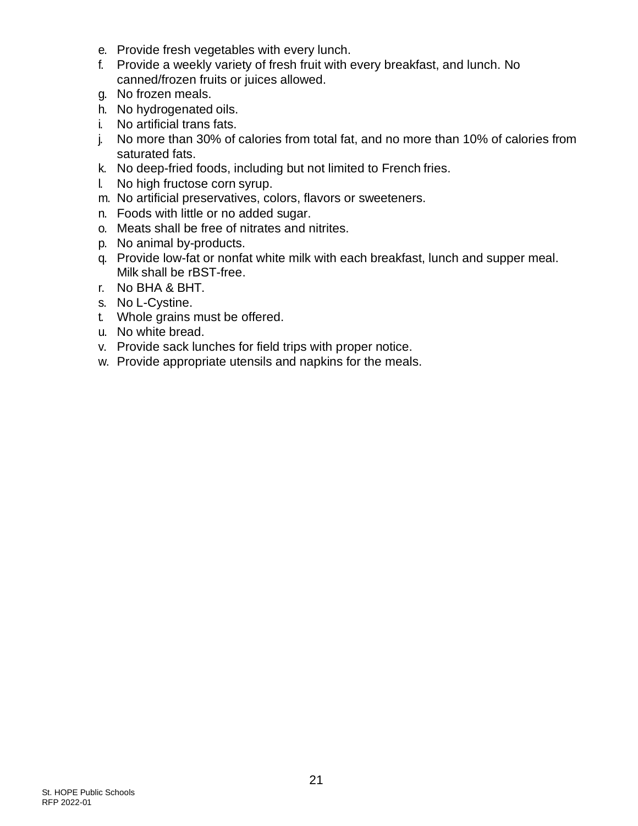- e. Provide fresh vegetables with every lunch.
- f. Provide a weekly variety of fresh fruit with every breakfast, and lunch. No canned/frozen fruits or juices allowed.
- g. No frozen meals.
- h. No hydrogenated oils.
- i. No artificial trans fats.
- j. No more than 30% of calories from total fat, and no more than 10% of calories from saturated fats.
- k. No deep-fried foods, including but not limited to French fries.
- l. No high fructose corn syrup.
- m. No artificial preservatives, colors, flavors or sweeteners.
- n. Foods with little or no added sugar.
- o. Meats shall be free of nitrates and nitrites.
- p. No animal by-products.
- q. Provide low-fat or nonfat white milk with each breakfast, lunch and supper meal. Milk shall be rBST-free.
- r. No BHA & BHT.
- s. No L-Cystine.
- t. Whole grains must be offered.
- u. No white bread.
- v. Provide sack lunches for field trips with proper notice.
- w. Provide appropriate utensils and napkins for the meals.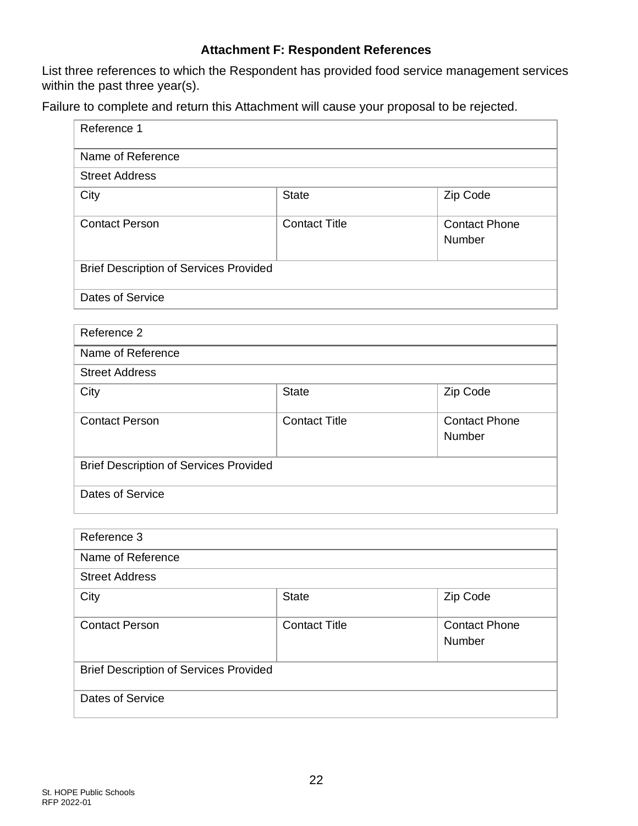#### **Attachment F: Respondent References**

List three references to which the Respondent has provided food service management services within the past three year(s).

Failure to complete and return this Attachment will cause your proposal to be rejected.

| Reference 1                                   |                      |                                |
|-----------------------------------------------|----------------------|--------------------------------|
| Name of Reference                             |                      |                                |
| <b>Street Address</b>                         |                      |                                |
| City                                          | <b>State</b>         | Zip Code                       |
| <b>Contact Person</b>                         | <b>Contact Title</b> | <b>Contact Phone</b><br>Number |
| <b>Brief Description of Services Provided</b> |                      |                                |
| Dates of Service                              |                      |                                |

| Reference 2                                   |                      |                                |
|-----------------------------------------------|----------------------|--------------------------------|
| Name of Reference                             |                      |                                |
| <b>Street Address</b>                         |                      |                                |
| City                                          | <b>State</b>         | Zip Code                       |
| <b>Contact Person</b>                         | <b>Contact Title</b> | <b>Contact Phone</b><br>Number |
| <b>Brief Description of Services Provided</b> |                      |                                |
| Dates of Service                              |                      |                                |

| Reference 3                                   |                      |                                |
|-----------------------------------------------|----------------------|--------------------------------|
| Name of Reference                             |                      |                                |
| <b>Street Address</b>                         |                      |                                |
| City                                          | <b>State</b>         | Zip Code                       |
| <b>Contact Person</b>                         | <b>Contact Title</b> | <b>Contact Phone</b><br>Number |
| <b>Brief Description of Services Provided</b> |                      |                                |
| Dates of Service                              |                      |                                |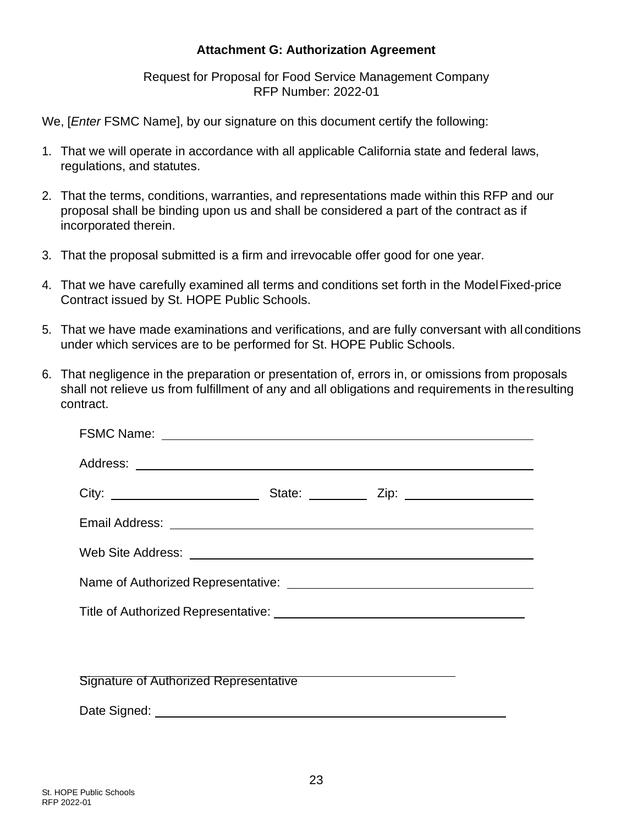#### **Attachment G: Authorization Agreement**

Request for Proposal for Food Service Management Company RFP Number: 2022-01

We, [*Enter* FSMC Name], by our signature on this document certify the following:

- 1. That we will operate in accordance with all applicable California state and federal laws, regulations, and statutes.
- 2. That the terms, conditions, warranties, and representations made within this RFP and our proposal shall be binding upon us and shall be considered a part of the contract as if incorporated therein.
- 3. That the proposal submitted is a firm and irrevocable offer good for one year.
- 4. That we have carefully examined all terms and conditions set forth in the ModelFixed-price Contract issued by St. HOPE Public Schools.
- 5. That we have made examinations and verifications, and are fully conversant with all conditions under which services are to be performed for St. HOPE Public Schools.
- 6. That negligence in the preparation or presentation of, errors in, or omissions from proposals shall not relieve us from fulfillment of any and all obligations and requirements in theresulting contract.

| FSMC Name: Name: Name: Name: Name: Name: Name: Name: Name: Name: Name: Name: Name: Name: Name: Name: Name: Name: Name: Name: Name: Name: Name: Name: Name: Name: Name: Name: Name: Name: Name: Name: Name: Name: Name: Name: N |  |  |  |  |
|--------------------------------------------------------------------------------------------------------------------------------------------------------------------------------------------------------------------------------|--|--|--|--|
|                                                                                                                                                                                                                                |  |  |  |  |
|                                                                                                                                                                                                                                |  |  |  |  |
|                                                                                                                                                                                                                                |  |  |  |  |
|                                                                                                                                                                                                                                |  |  |  |  |
|                                                                                                                                                                                                                                |  |  |  |  |
|                                                                                                                                                                                                                                |  |  |  |  |
|                                                                                                                                                                                                                                |  |  |  |  |
| <u> 1989 - Johann Stein, marwolaethau a bhann an t-Amhair an t-Amhair an t-Amhair an t-Amhair an t-Amhair an t-A</u><br>Signature of Authorized Representative                                                                 |  |  |  |  |
|                                                                                                                                                                                                                                |  |  |  |  |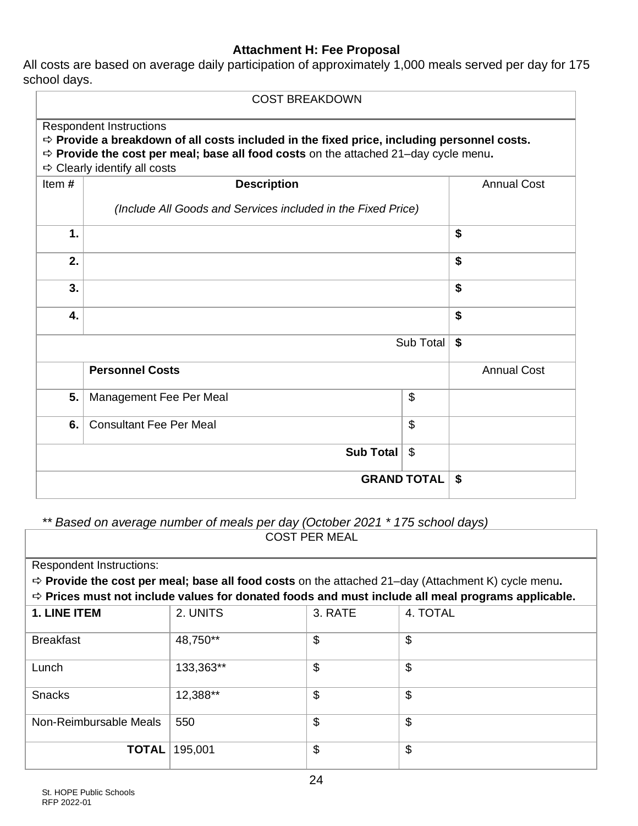#### **Attachment H: Fee Proposal**

All costs are based on average daily participation of approximately 1,000 meals served per day for 175 school days.

|               | <b>COST BREAKDOWN</b>                                                                                                                                                                                                                                                                       |                           |                    |
|---------------|---------------------------------------------------------------------------------------------------------------------------------------------------------------------------------------------------------------------------------------------------------------------------------------------|---------------------------|--------------------|
|               | <b>Respondent Instructions</b><br>$\Rightarrow$ Provide a breakdown of all costs included in the fixed price, including personnel costs.<br>$\Rightarrow$ Provide the cost per meal; base all food costs on the attached 21-day cycle menu.<br>$\Leftrightarrow$ Clearly identify all costs |                           |                    |
| Item#         | <b>Description</b>                                                                                                                                                                                                                                                                          |                           | <b>Annual Cost</b> |
|               | (Include All Goods and Services included in the Fixed Price)                                                                                                                                                                                                                                |                           |                    |
| $\mathbf 1$ . |                                                                                                                                                                                                                                                                                             |                           | \$                 |
| 2.            |                                                                                                                                                                                                                                                                                             | \$                        |                    |
| 3.            |                                                                                                                                                                                                                                                                                             |                           | \$                 |
| 4.            |                                                                                                                                                                                                                                                                                             | \$                        |                    |
| Sub Total     |                                                                                                                                                                                                                                                                                             | $\boldsymbol{\mathsf{s}}$ |                    |
|               | <b>Personnel Costs</b>                                                                                                                                                                                                                                                                      |                           | <b>Annual Cost</b> |
| 5.            | Management Fee Per Meal                                                                                                                                                                                                                                                                     | \$                        |                    |
| 6.            | <b>Consultant Fee Per Meal</b>                                                                                                                                                                                                                                                              | \$                        |                    |
|               | <b>Sub Total</b>                                                                                                                                                                                                                                                                            | $\mathfrak{L}$            |                    |
|               |                                                                                                                                                                                                                                                                                             | <b>GRAND TOTAL</b>        | \$                 |

*\*\* Based on average number of meals per day (October 2021 \* 175 school days)* COST PER MEAL

| <b>Respondent Instructions:</b> |           |         |                                                                                                                |
|---------------------------------|-----------|---------|----------------------------------------------------------------------------------------------------------------|
|                                 |           |         | $\Rightarrow$ Provide the cost per meal; base all food costs on the attached 21-day (Attachment K) cycle menu. |
|                                 |           |         | $\Rightarrow$ Prices must not include values for donated foods and must include all meal programs applicable.  |
| <b>1. LINE ITEM</b>             | 2. UNITS  | 3. RATE | 4. TOTAL                                                                                                       |
| <b>Breakfast</b>                | 48,750**  | \$      | \$                                                                                                             |
| Lunch                           | 133,363** | \$      | \$                                                                                                             |
| <b>Snacks</b>                   | 12,388**  | \$      | \$                                                                                                             |
| Non-Reimbursable Meals          | 550       | \$      | \$                                                                                                             |
| <b>TOTAL</b>                    | 195,001   | \$      | \$                                                                                                             |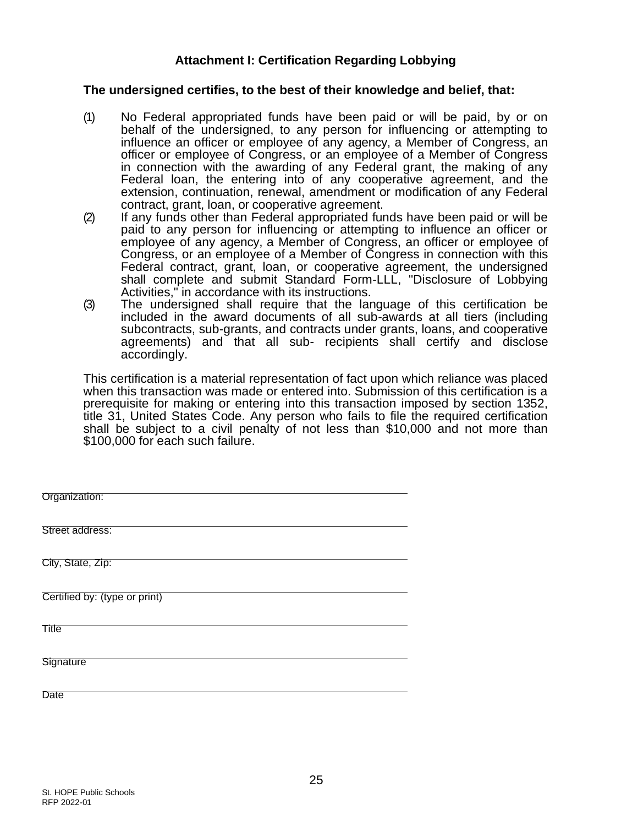#### **Attachment I: Certification Regarding Lobbying**

#### **The undersigned certifies, to the best of their knowledge and belief, that:**

- (1) No Federal appropriated funds have been paid or will be paid, by or on behalf of the undersigned, to any person for influencing or attempting to influence an officer or employee of any agency, a Member of Congress, an officer or employee of Congress, or an employee of a Member of Congress in connection with the awarding of any Federal grant, the making of any Federal loan, the entering into of any cooperative agreement, and the extension, continuation, renewal, amendment or modification of any Federal contract, grant, loan, or cooperative agreement.
- (2) If any funds other than Federal appropriated funds have been paid or will be paid to any person for influencing or attempting to influence an officer or employee of any agency, a Member of Congress, an officer or employee of Congress, or an employee of a Member of Congress in connection with this Federal contract, grant, loan, or cooperative agreement, the undersigned shall complete and submit Standard Form-LLL, "Disclosure of Lobbying Activities," in accordance with its instructions.
- (3) The undersigned shall require that the language of this certification be included in the award documents of all sub-awards at all tiers (including subcontracts, sub-grants, and contracts under grants, loans, and cooperative agreements) and that all sub- recipients shall certify and disclose accordingly.

This certification is a material representation of fact upon which reliance was placed when this transaction was made or entered into. Submission of this certification is a prerequisite for making or entering into this transaction imposed by section 1352, title 31, United States Code. Any person who fails to file the required certification shall be subject to a civil penalty of not less than \$10,000 and not more than \$100,000 for each such failure.

| Organization:                 |
|-------------------------------|
| Street address:               |
| City, State, Zip:             |
| Certified by: (type or print) |
| <b>Title</b>                  |
| Signature                     |
| Date                          |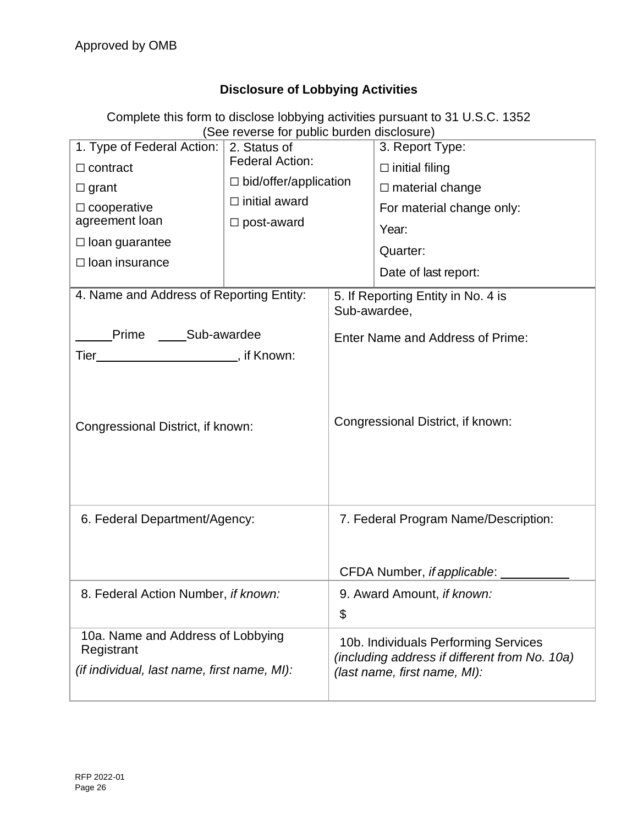#### **Disclosure of Lobbying Activities**

Complete this form to disclose lobbying activities pursuant to 31 U.S.C. 1352 (See reverse for public burden disclosure)

| 1. Type of Federal Action:                  | 2. Status of                 |                                                                                       | 3. Report Type:                                    |  |
|---------------------------------------------|------------------------------|---------------------------------------------------------------------------------------|----------------------------------------------------|--|
| $\Box$ contract                             | <b>Federal Action:</b>       |                                                                                       | $\Box$ initial filing                              |  |
| $\Box$ grant                                | $\Box$ bid/offer/application |                                                                                       | $\Box$ material change                             |  |
| $\Box$ cooperative                          | $\Box$ initial award         |                                                                                       | For material change only:                          |  |
| agreement loan                              | $\Box$ post-award            |                                                                                       | Year:                                              |  |
| $\Box$ loan guarantee                       |                              |                                                                                       | Quarter:                                           |  |
| $\Box$ loan insurance                       |                              |                                                                                       | Date of last report:                               |  |
|                                             |                              |                                                                                       |                                                    |  |
| 4. Name and Address of Reporting Entity:    |                              |                                                                                       | 5. If Reporting Entity in No. 4 is<br>Sub-awardee, |  |
|                                             |                              |                                                                                       |                                                    |  |
| Prime ______Sub-awardee                     |                              |                                                                                       | <b>Enter Name and Address of Prime:</b>            |  |
|                                             |                              |                                                                                       |                                                    |  |
|                                             |                              |                                                                                       |                                                    |  |
|                                             |                              |                                                                                       |                                                    |  |
|                                             |                              | Congressional District, if known:                                                     |                                                    |  |
| Congressional District, if known:           |                              |                                                                                       |                                                    |  |
|                                             |                              |                                                                                       |                                                    |  |
|                                             |                              |                                                                                       |                                                    |  |
|                                             |                              |                                                                                       |                                                    |  |
| 6. Federal Department/Agency:               |                              | 7. Federal Program Name/Description:                                                  |                                                    |  |
|                                             |                              |                                                                                       |                                                    |  |
|                                             |                              |                                                                                       |                                                    |  |
|                                             |                              |                                                                                       | CFDA Number, if applicable: _____                  |  |
| 8. Federal Action Number, if known:         |                              | 9. Award Amount, if known:                                                            |                                                    |  |
|                                             |                              | \$                                                                                    |                                                    |  |
| 10a. Name and Address of Lobbying           |                              |                                                                                       |                                                    |  |
| Registrant                                  |                              | 10b. Individuals Performing Services<br>(including address if different from No. 10a) |                                                    |  |
| (if individual, last name, first name, MI): |                              | (last name, first name, MI):                                                          |                                                    |  |
|                                             |                              |                                                                                       |                                                    |  |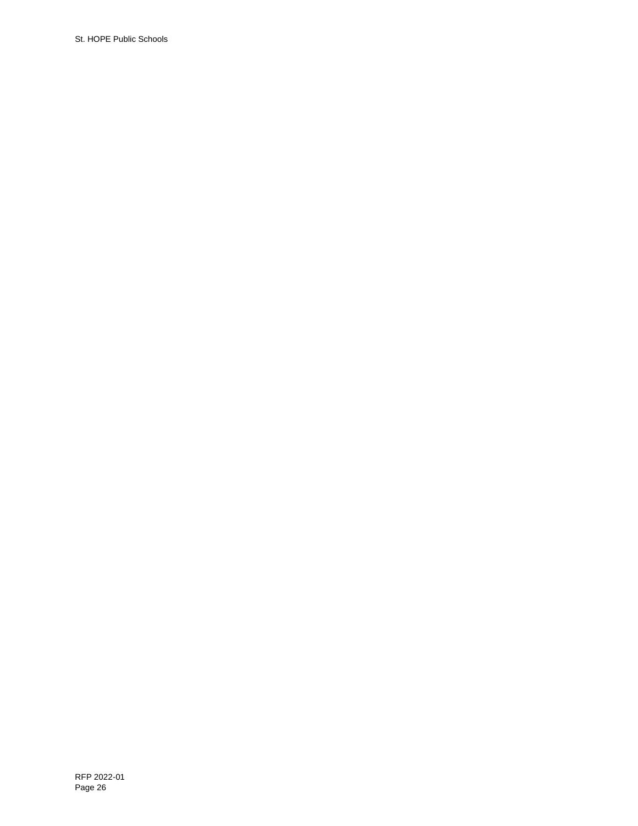St. HOPE Public Schools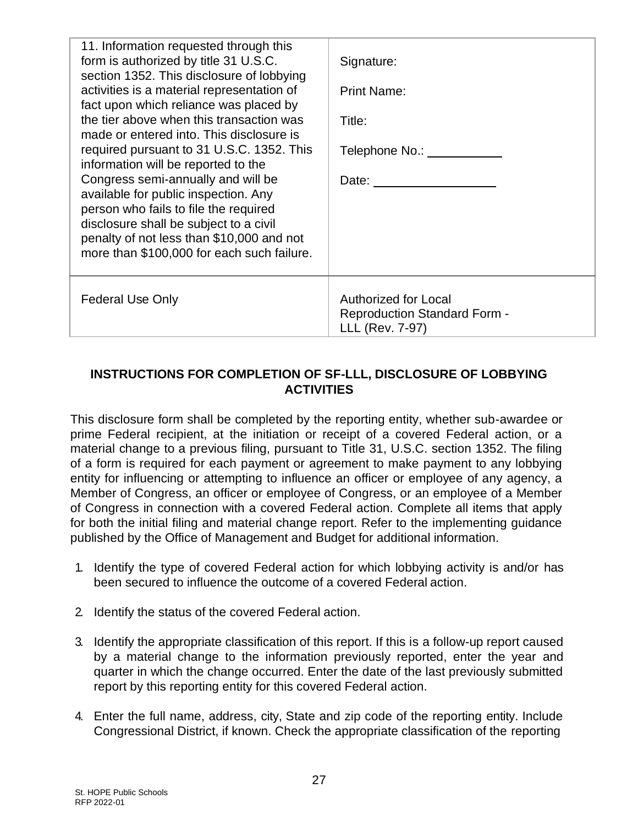| 11. Information requested through this<br>form is authorized by title 31 U.S.C.<br>section 1352. This disclosure of lobbying<br>activities is a material representation of<br>fact upon which reliance was placed by<br>the tier above when this transaction was<br>made or entered into. This disclosure is<br>required pursuant to 31 U.S.C. 1352. This<br>information will be reported to the<br>Congress semi-annually and will be<br>available for public inspection. Any<br>person who fails to file the required<br>disclosure shall be subject to a civil<br>penalty of not less than \$10,000 and not<br>more than \$100,000 for each such failure. | Signature:<br><b>Print Name:</b><br>Title:<br>Telephone No.: _______<br>Date:  |
|--------------------------------------------------------------------------------------------------------------------------------------------------------------------------------------------------------------------------------------------------------------------------------------------------------------------------------------------------------------------------------------------------------------------------------------------------------------------------------------------------------------------------------------------------------------------------------------------------------------------------------------------------------------|--------------------------------------------------------------------------------|
| <b>Federal Use Only</b>                                                                                                                                                                                                                                                                                                                                                                                                                                                                                                                                                                                                                                      | Authorized for Local<br><b>Reproduction Standard Form -</b><br>LLL (Rev. 7-97) |

#### **INSTRUCTIONS FOR COMPLETION OF SF-LLL, DISCLOSURE OF LOBBYING ACTIVITIES**

This disclosure form shall be completed by the reporting entity, whether sub-awardee or prime Federal recipient, at the initiation or receipt of a covered Federal action, or a material change to a previous filing, pursuant to Title 31, U.S.C. section 1352. The filing of a form is required for each payment or agreement to make payment to any lobbying entity for influencing or attempting to influence an officer or employee of any agency, a Member of Congress, an officer or employee of Congress, or an employee of a Member of Congress in connection with a covered Federal action. Complete all items that apply for both the initial filing and material change report. Refer to the implementing guidance published by the Office of Management and Budget for additional information.

- 1. Identify the type of covered Federal action for which lobbying activity is and/or has been secured to influence the outcome of a covered Federal action.
- 2. Identify the status of the covered Federal action.
- 3. Identify the appropriate classification of this report. If this is a follow-up report caused by a material change to the information previously reported, enter the year and quarter in which the change occurred. Enter the date of the last previously submitted report by this reporting entity for this covered Federal action.
- 4. Enter the full name, address, city, State and zip code of the reporting entity. Include Congressional District, if known. Check the appropriate classification of the reporting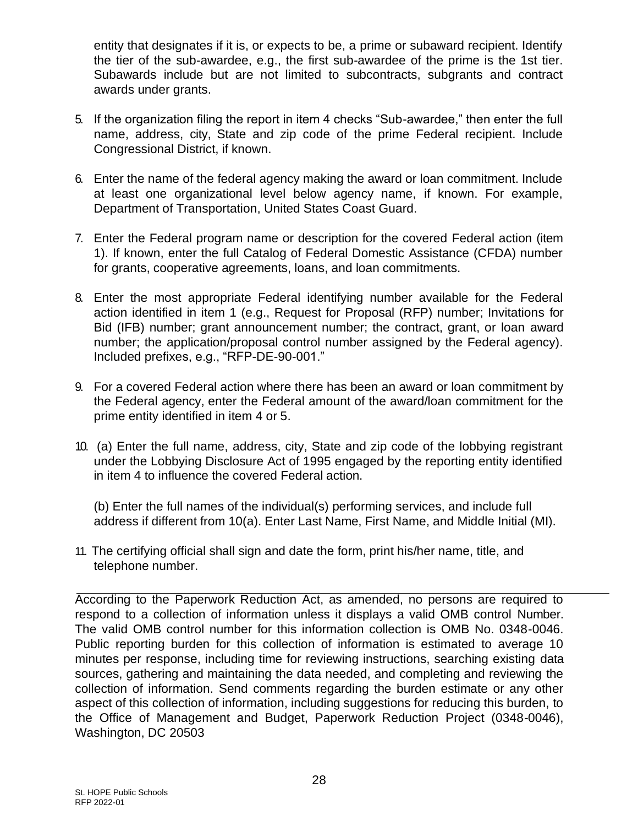entity that designates if it is, or expects to be, a prime or subaward recipient. Identify the tier of the sub-awardee, e.g., the first sub-awardee of the prime is the 1st tier. Subawards include but are not limited to subcontracts, subgrants and contract awards under grants.

- 5. If the organization filing the report in item 4 checks "Sub-awardee," then enter the full name, address, city, State and zip code of the prime Federal recipient. Include Congressional District, if known.
- 6. Enter the name of the federal agency making the award or loan commitment. Include at least one organizational level below agency name, if known. For example, Department of Transportation, United States Coast Guard.
- 7. Enter the Federal program name or description for the covered Federal action (item 1). If known, enter the full Catalog of Federal Domestic Assistance (CFDA) number for grants, cooperative agreements, loans, and loan commitments.
- 8. Enter the most appropriate Federal identifying number available for the Federal action identified in item 1 (e.g., Request for Proposal (RFP) number; Invitations for Bid (IFB) number; grant announcement number; the contract, grant, or loan award number; the application/proposal control number assigned by the Federal agency). Included prefixes, e.g., "RFP-DE-90-001."
- 9. For a covered Federal action where there has been an award or loan commitment by the Federal agency, enter the Federal amount of the award/loan commitment for the prime entity identified in item 4 or 5.
- 10. (a) Enter the full name, address, city, State and zip code of the lobbying registrant under the Lobbying Disclosure Act of 1995 engaged by the reporting entity identified in item 4 to influence the covered Federal action.

(b) Enter the full names of the individual(s) performing services, and include full address if different from 10(a). Enter Last Name, First Name, and Middle Initial (MI).

11. The certifying official shall sign and date the form, print his/her name, title, and telephone number.

According to the Paperwork Reduction Act, as amended, no persons are required to respond to a collection of information unless it displays a valid OMB control Number. The valid OMB control number for this information collection is OMB No. 0348-0046. Public reporting burden for this collection of information is estimated to average 10 minutes per response, including time for reviewing instructions, searching existing data sources, gathering and maintaining the data needed, and completing and reviewing the collection of information. Send comments regarding the burden estimate or any other aspect of this collection of information, including suggestions for reducing this burden, to the Office of Management and Budget, Paperwork Reduction Project (0348-0046), Washington, DC 20503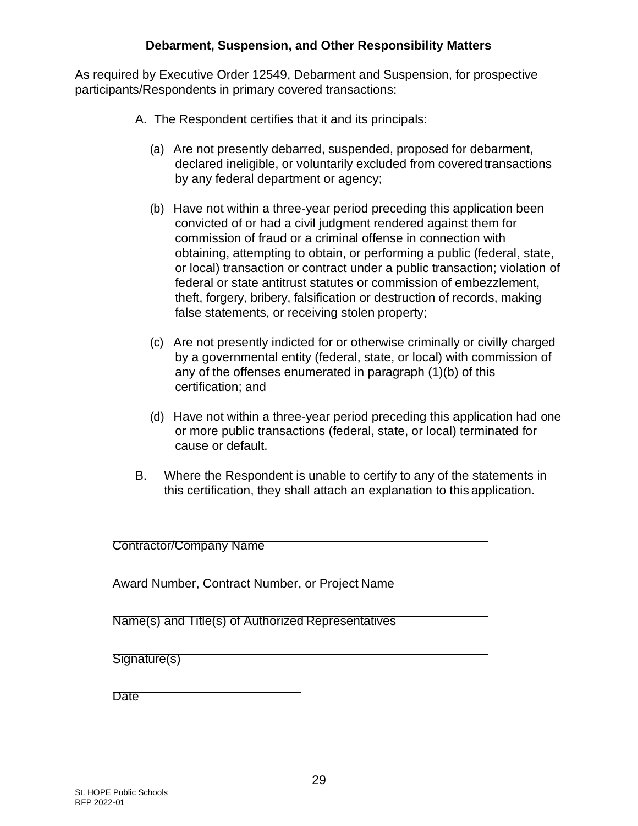#### **Debarment, Suspension, and Other Responsibility Matters**

As required by Executive Order 12549, Debarment and Suspension, for prospective participants/Respondents in primary covered transactions:

- A. The Respondent certifies that it and its principals:
	- (a) Are not presently debarred, suspended, proposed for debarment, declared ineligible, or voluntarily excluded from coveredtransactions by any federal department or agency;
	- (b) Have not within a three-year period preceding this application been convicted of or had a civil judgment rendered against them for commission of fraud or a criminal offense in connection with obtaining, attempting to obtain, or performing a public (federal, state, or local) transaction or contract under a public transaction; violation of federal or state antitrust statutes or commission of embezzlement, theft, forgery, bribery, falsification or destruction of records, making false statements, or receiving stolen property;
	- (c) Are not presently indicted for or otherwise criminally or civilly charged by a governmental entity (federal, state, or local) with commission of any of the offenses enumerated in paragraph (1)(b) of this certification; and
	- (d) Have not within a three-year period preceding this application had one or more public transactions (federal, state, or local) terminated for cause or default.
- B. Where the Respondent is unable to certify to any of the statements in this certification, they shall attach an explanation to this application.

Contractor/Company Name

Award Number, Contract Number, or Project Name

Name(s) and Title(s) of Authorized Representatives

#### Signature(s)

**Date**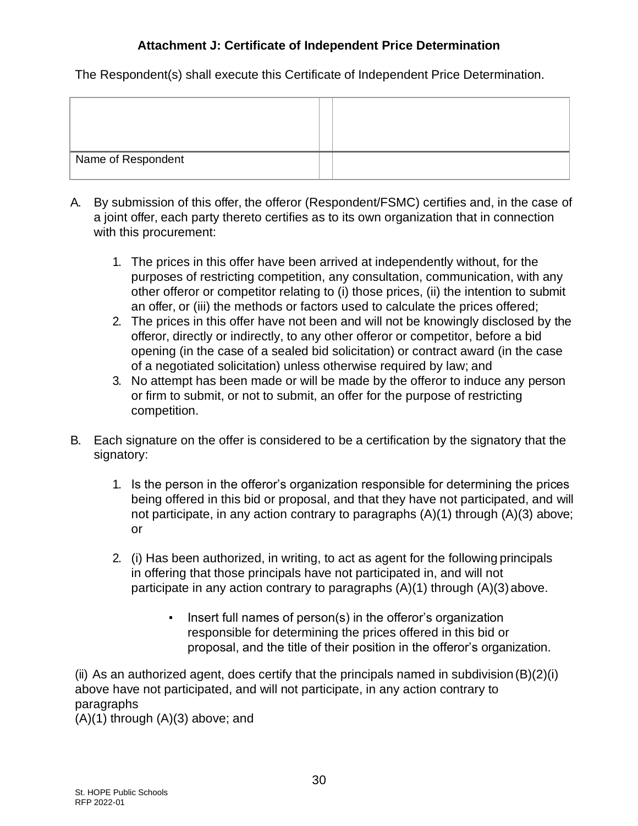#### **Attachment J: Certificate of Independent Price Determination**

The Respondent(s) shall execute this Certificate of Independent Price Determination.

| Name of Respondent |  |
|--------------------|--|
|                    |  |

- A. By submission of this offer, the offeror (Respondent/FSMC) certifies and, in the case of a joint offer, each party thereto certifies as to its own organization that in connection with this procurement:
	- 1. The prices in this offer have been arrived at independently without, for the purposes of restricting competition, any consultation, communication, with any other offeror or competitor relating to (i) those prices, (ii) the intention to submit an offer, or (iii) the methods or factors used to calculate the prices offered;
	- 2. The prices in this offer have not been and will not be knowingly disclosed by the offeror, directly or indirectly, to any other offeror or competitor, before a bid opening (in the case of a sealed bid solicitation) or contract award (in the case of a negotiated solicitation) unless otherwise required by law; and
	- 3. No attempt has been made or will be made by the offeror to induce any person or firm to submit, or not to submit, an offer for the purpose of restricting competition.
- B. Each signature on the offer is considered to be a certification by the signatory that the signatory:
	- 1. Is the person in the offeror's organization responsible for determining the prices being offered in this bid or proposal, and that they have not participated, and will not participate, in any action contrary to paragraphs (A)(1) through (A)(3) above; or
	- 2. (i) Has been authorized, in writing, to act as agent for the following principals in offering that those principals have not participated in, and will not participate in any action contrary to paragraphs (A)(1) through (A)(3)above.
		- **Insert full names of person(s) in the offeror's organization** responsible for determining the prices offered in this bid or proposal, and the title of their position in the offeror's organization.

(ii) As an authorized agent, does certify that the principals named in subdivision  $(B)(2)(i)$ above have not participated, and will not participate, in any action contrary to paragraphs

 $(A)(1)$  through  $(A)(3)$  above; and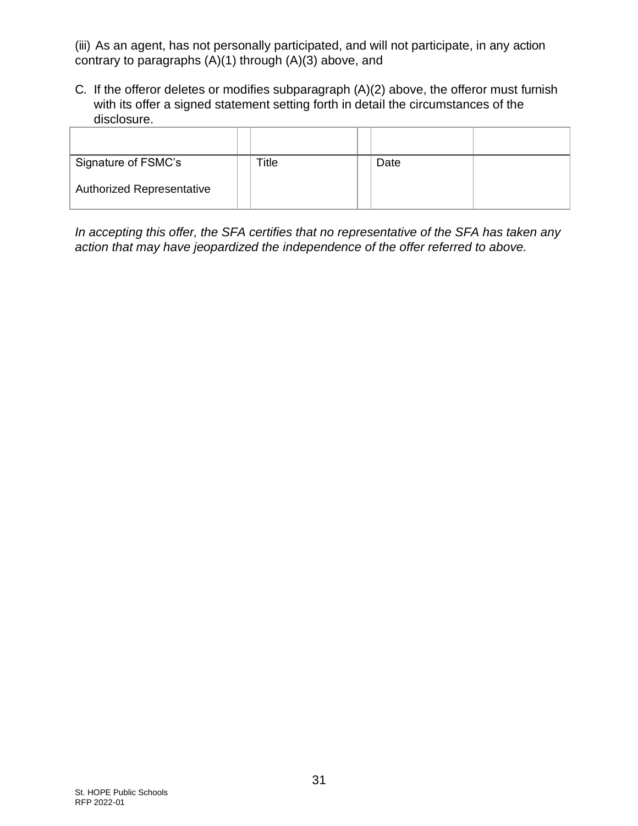(iii) As an agent, has not personally participated, and will not participate, in any action contrary to paragraphs (A)(1) through (A)(3) above, and

C. If the offeror deletes or modifies subparagraph (A)(2) above, the offeror must furnish with its offer a signed statement setting forth in detail the circumstances of the disclosure.

| Signature of FSMC's              | Γitle | Date |  |
|----------------------------------|-------|------|--|
| <b>Authorized Representative</b> |       |      |  |

*In accepting this offer, the SFA certifies that no representative of the SFA has taken any action that may have jeopardized the independence of the offer referred to above.*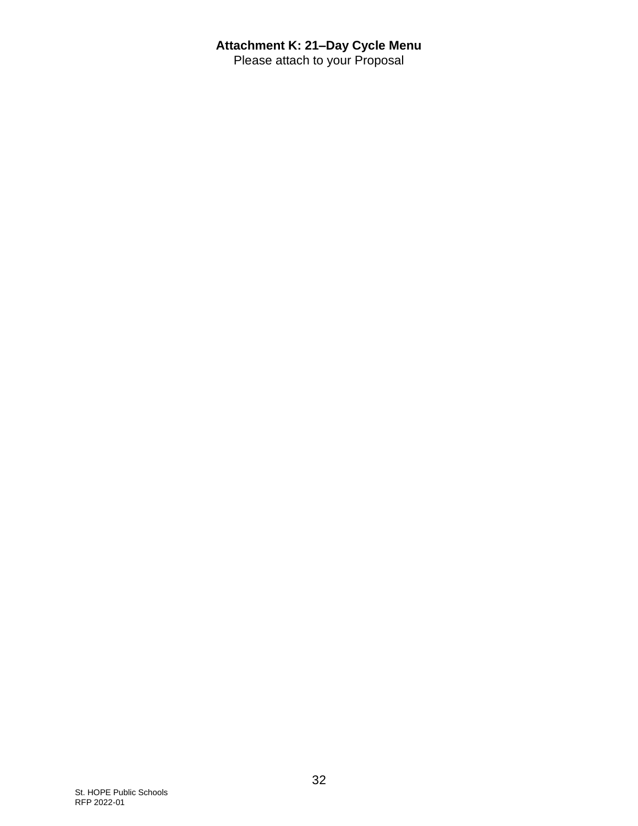#### **Attachment K: 21–Day Cycle Menu**

Please attach to your Proposal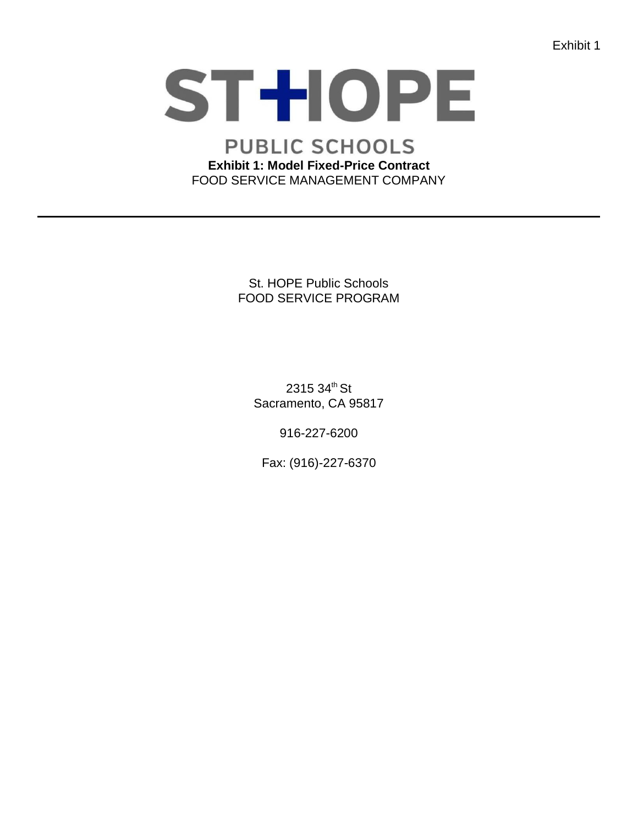Exhibit 1

### ST+IOPE **PUBLIC SCHOOLS Exhibit 1: Model Fixed-Price Contract** FOOD SERVICE MANAGEMENT COMPANY

St. HOPE Public Schools FOOD SERVICE PROGRAM

2315 34th St Sacramento, CA 95817

916-227-6200

Fax: (916)-227-6370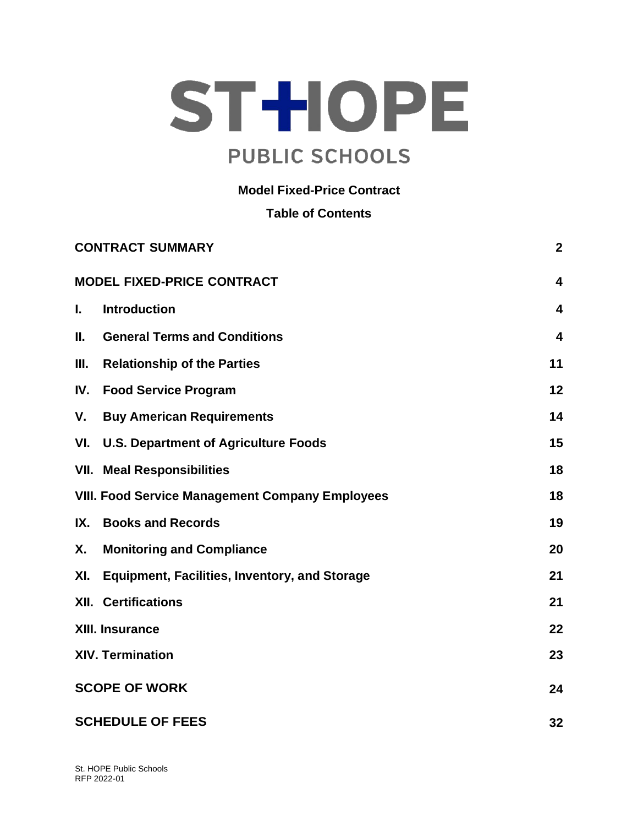## ST+IOPE **PUBLIC SCHOOLS**

#### **Model Fixed-Price Contract**

**Table of Contents**

|     | <b>CONTRACT SUMMARY</b>                                | $\boldsymbol{2}$        |
|-----|--------------------------------------------------------|-------------------------|
|     | <b>MODEL FIXED-PRICE CONTRACT</b>                      | $\overline{\mathbf{4}}$ |
| L.  | <b>Introduction</b>                                    | $\overline{\mathbf{4}}$ |
| Ш.  | <b>General Terms and Conditions</b>                    | $\overline{\mathbf{4}}$ |
| Ш.  | <b>Relationship of the Parties</b>                     | 11                      |
| IV. | <b>Food Service Program</b>                            | 12                      |
| V.  | <b>Buy American Requirements</b>                       | 14                      |
| VI. | <b>U.S. Department of Agriculture Foods</b>            | 15                      |
|     | <b>VII. Meal Responsibilities</b>                      | 18                      |
|     | <b>VIII. Food Service Management Company Employees</b> | 18                      |
| IX. | <b>Books and Records</b>                               | 19                      |
| Χ.  | <b>Monitoring and Compliance</b>                       | 20                      |
| XI. | <b>Equipment, Facilities, Inventory, and Storage</b>   | 21                      |
|     | <b>XII. Certifications</b>                             | 21                      |
|     | <b>XIII. Insurance</b>                                 | 22                      |
|     | <b>XIV. Termination</b>                                | 23                      |
|     | <b>SCOPE OF WORK</b>                                   | 24                      |
|     | <b>SCHEDULE OF FEES</b>                                | 32                      |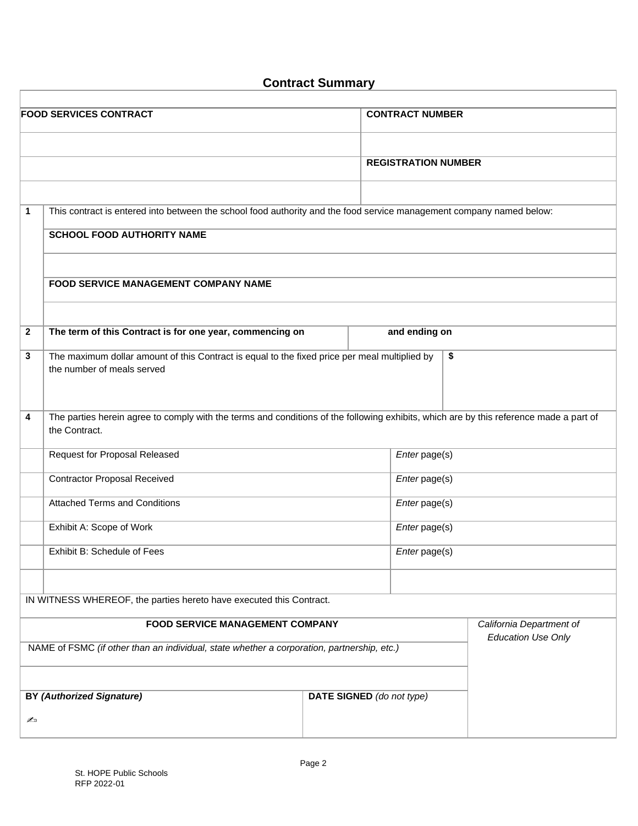#### **Contract Summary**

| <b>FOOD SERVICES CONTRACT</b>                                                              |                                                                                                                                                         |                           | <b>CONTRACT NUMBER</b>     |                                                       |  |
|--------------------------------------------------------------------------------------------|---------------------------------------------------------------------------------------------------------------------------------------------------------|---------------------------|----------------------------|-------------------------------------------------------|--|
|                                                                                            |                                                                                                                                                         |                           |                            |                                                       |  |
|                                                                                            |                                                                                                                                                         |                           | <b>REGISTRATION NUMBER</b> |                                                       |  |
|                                                                                            |                                                                                                                                                         |                           |                            |                                                       |  |
| 1                                                                                          | This contract is entered into between the school food authority and the food service management company named below:                                    |                           |                            |                                                       |  |
|                                                                                            | <b>SCHOOL FOOD AUTHORITY NAME</b>                                                                                                                       |                           |                            |                                                       |  |
|                                                                                            |                                                                                                                                                         |                           |                            |                                                       |  |
|                                                                                            | <b>FOOD SERVICE MANAGEMENT COMPANY NAME</b>                                                                                                             |                           |                            |                                                       |  |
|                                                                                            |                                                                                                                                                         |                           |                            |                                                       |  |
| $\mathbf{2}$                                                                               | The term of this Contract is for one year, commencing on                                                                                                |                           | and ending on              |                                                       |  |
| 3                                                                                          | The maximum dollar amount of this Contract is equal to the fixed price per meal multiplied by<br>the number of meals served                             |                           |                            |                                                       |  |
| 4                                                                                          | The parties herein agree to comply with the terms and conditions of the following exhibits, which are by this reference made a part of<br>the Contract. |                           |                            |                                                       |  |
|                                                                                            | Request for Proposal Released                                                                                                                           |                           | Enter page(s)              |                                                       |  |
|                                                                                            | <b>Contractor Proposal Received</b>                                                                                                                     |                           | Enter page(s)              |                                                       |  |
|                                                                                            | <b>Attached Terms and Conditions</b>                                                                                                                    |                           | Enter page(s)              |                                                       |  |
|                                                                                            | Exhibit A: Scope of Work                                                                                                                                |                           | Enter page(s)              |                                                       |  |
|                                                                                            | Exhibit B: Schedule of Fees                                                                                                                             |                           | $\overline{Enter}$ page(s) |                                                       |  |
|                                                                                            |                                                                                                                                                         |                           |                            |                                                       |  |
|                                                                                            | IN WITNESS WHEREOF, the parties hereto have executed this Contract.                                                                                     |                           |                            |                                                       |  |
|                                                                                            | <b>FOOD SERVICE MANAGEMENT COMPANY</b>                                                                                                                  |                           |                            | California Department of<br><b>Education Use Only</b> |  |
| NAME of FSMC (if other than an individual, state whether a corporation, partnership, etc.) |                                                                                                                                                         |                           |                            |                                                       |  |
|                                                                                            |                                                                                                                                                         |                           |                            |                                                       |  |
|                                                                                            | <b>BY (Authorized Signature)</b>                                                                                                                        | DATE SIGNED (do not type) |                            |                                                       |  |
| Æл                                                                                         |                                                                                                                                                         |                           |                            |                                                       |  |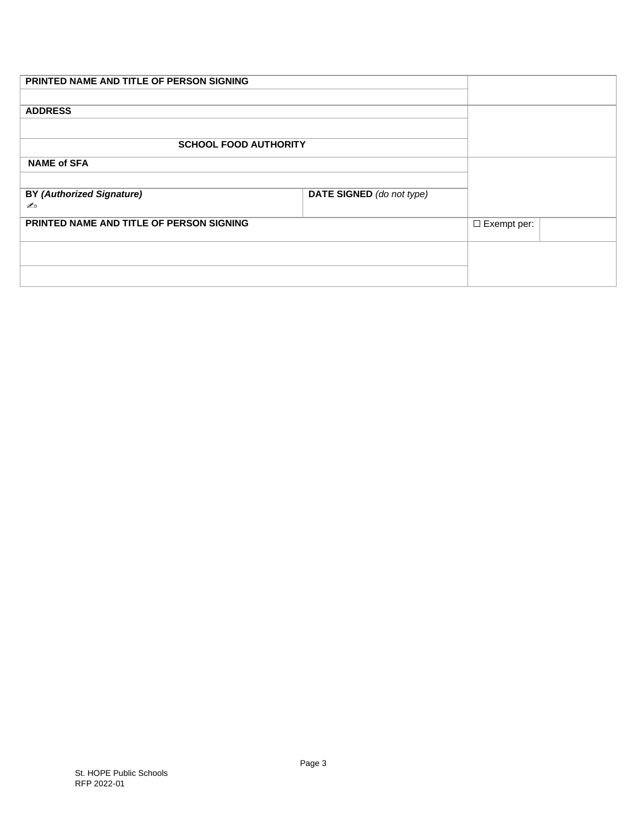| PRINTED NAME AND TITLE OF PERSON SIGNING |                                  |                    |  |
|------------------------------------------|----------------------------------|--------------------|--|
|                                          |                                  |                    |  |
| <b>ADDRESS</b>                           |                                  |                    |  |
|                                          |                                  |                    |  |
| <b>SCHOOL FOOD AUTHORITY</b>             |                                  |                    |  |
| <b>NAME of SFA</b>                       |                                  |                    |  |
|                                          |                                  |                    |  |
| <b>BY (Authorized Signature)</b>         | <b>DATE SIGNED</b> (do not type) |                    |  |
| Æъ                                       |                                  |                    |  |
| PRINTED NAME AND TITLE OF PERSON SIGNING |                                  | $\Box$ Exempt per: |  |
|                                          |                                  |                    |  |
|                                          |                                  |                    |  |
|                                          |                                  |                    |  |
|                                          |                                  |                    |  |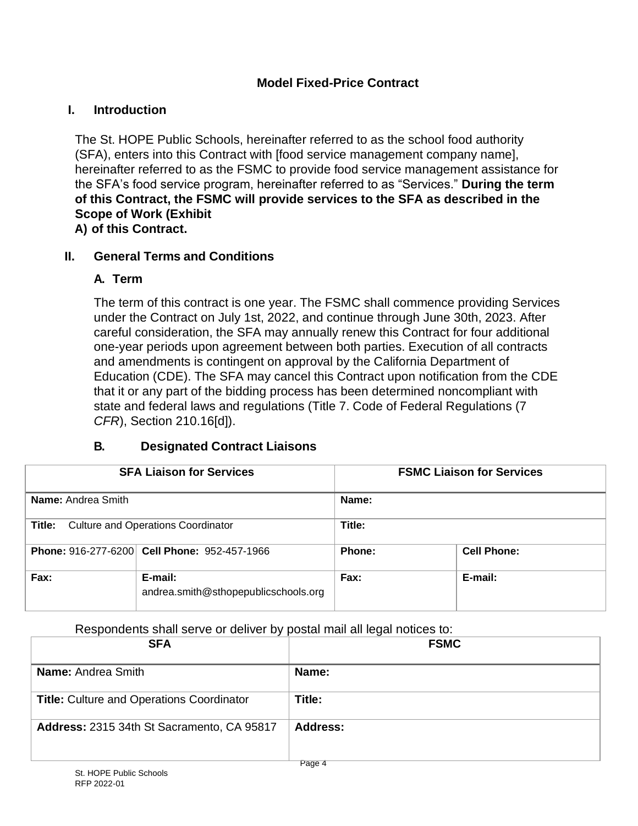#### **Model Fixed-Price Contract**

#### **I. Introduction**

The St. HOPE Public Schools, hereinafter referred to as the school food authority (SFA), enters into this Contract with [food service management company name], hereinafter referred to as the FSMC to provide food service management assistance for the SFA's food service program, hereinafter referred to as "Services." **During the term of this Contract, the FSMC will provide services to the SFA as described in the Scope of Work (Exhibit A) of this Contract.**

#### **II. General Terms and Conditions**

#### **A. Term**

The term of this contract is one year. The FSMC shall commence providing Services under the Contract on July 1st, 2022, and continue through June 30th, 2023. After careful consideration, the SFA may annually renew this Contract for four additional one-year periods upon agreement between both parties. Execution of all contracts and amendments is contingent on approval by the California Department of Education (CDE). The SFA may cancel this Contract upon notification from the CDE that it or any part of the bidding process has been determined noncompliant with state and federal laws and regulations (Title 7. Code of Federal Regulations (7 *CFR*), Section 210.16[d]).

#### **B. Designated Contract Liaisons**

|                           | <b>SFA Liaison for Services</b>                     |        | <b>FSMC Liaison for Services</b> |
|---------------------------|-----------------------------------------------------|--------|----------------------------------|
| <b>Name:</b> Andrea Smith |                                                     | Name:  |                                  |
| Title:                    | <b>Culture and Operations Coordinator</b>           | Title: |                                  |
|                           | <b>Phone: 916-277-6200 Cell Phone: 952-457-1966</b> | Phone: | <b>Cell Phone:</b>               |
| Fax:                      | E-mail:<br>andrea.smith@sthopepublicschools.org     | Fax:   | E-mail:                          |

#### Respondents shall serve or deliver by postal mail all legal notices to:

| <b>SFA</b>                                       | <b>FSMC</b>     |
|--------------------------------------------------|-----------------|
| <b>Name: Andrea Smith</b>                        | Name:           |
| <b>Title:</b> Culture and Operations Coordinator | Title:          |
| Address: 2315 34th St Sacramento, CA 95817       | <b>Address:</b> |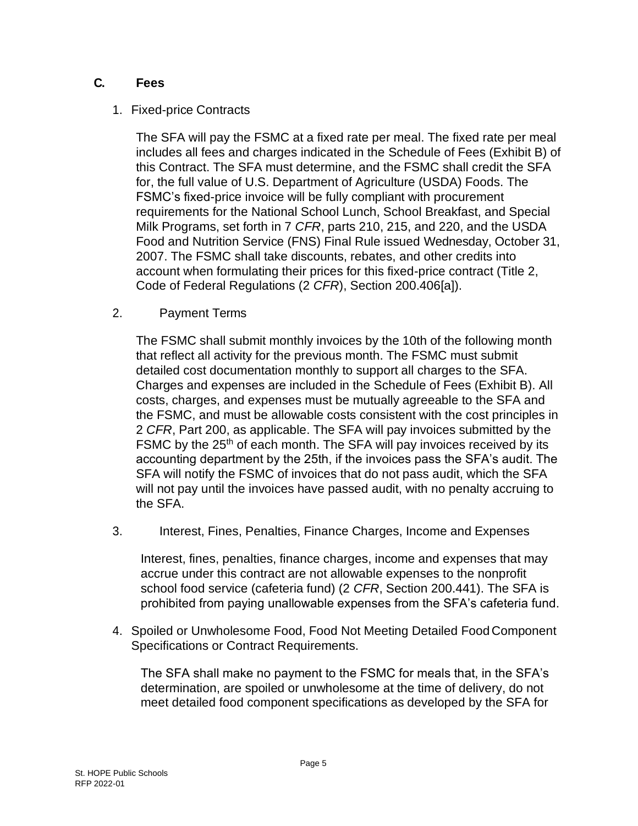#### **C. Fees**

#### 1. Fixed-price Contracts

The SFA will pay the FSMC at a fixed rate per meal. The fixed rate per meal includes all fees and charges indicated in the Schedule of Fees (Exhibit B) of this Contract. The SFA must determine, and the FSMC shall credit the SFA for, the full value of U.S. Department of Agriculture (USDA) Foods. The FSMC's fixed-price invoice will be fully compliant with procurement requirements for the National School Lunch, School Breakfast, and Special Milk Programs, set forth in 7 *CFR*, parts 210, 215, and 220, and the USDA Food and Nutrition Service (FNS) Final Rule issued Wednesday, October 31, 2007. The FSMC shall take discounts, rebates, and other credits into account when formulating their prices for this fixed-price contract (Title 2, Code of Federal Regulations (2 *CFR*), Section 200.406[a]).

#### 2. Payment Terms

The FSMC shall submit monthly invoices by the 10th of the following month that reflect all activity for the previous month. The FSMC must submit detailed cost documentation monthly to support all charges to the SFA. Charges and expenses are included in the Schedule of Fees (Exhibit B). All costs, charges, and expenses must be mutually agreeable to the SFA and the FSMC, and must be allowable costs consistent with the cost principles in 2 *CFR*, Part 200, as applicable. The SFA will pay invoices submitted by the FSMC by the  $25<sup>th</sup>$  of each month. The SFA will pay invoices received by its accounting department by the 25th, if the invoices pass the SFA's audit. The SFA will notify the FSMC of invoices that do not pass audit, which the SFA will not pay until the invoices have passed audit, with no penalty accruing to the SFA.

3. Interest, Fines, Penalties, Finance Charges, Income and Expenses

Interest, fines, penalties, finance charges, income and expenses that may accrue under this contract are not allowable expenses to the nonprofit school food service (cafeteria fund) (2 *CFR*, Section 200.441). The SFA is prohibited from paying unallowable expenses from the SFA's cafeteria fund.

4. Spoiled or Unwholesome Food, Food Not Meeting Detailed FoodComponent Specifications or Contract Requirements.

The SFA shall make no payment to the FSMC for meals that, in the SFA's determination, are spoiled or unwholesome at the time of delivery, do not meet detailed food component specifications as developed by the SFA for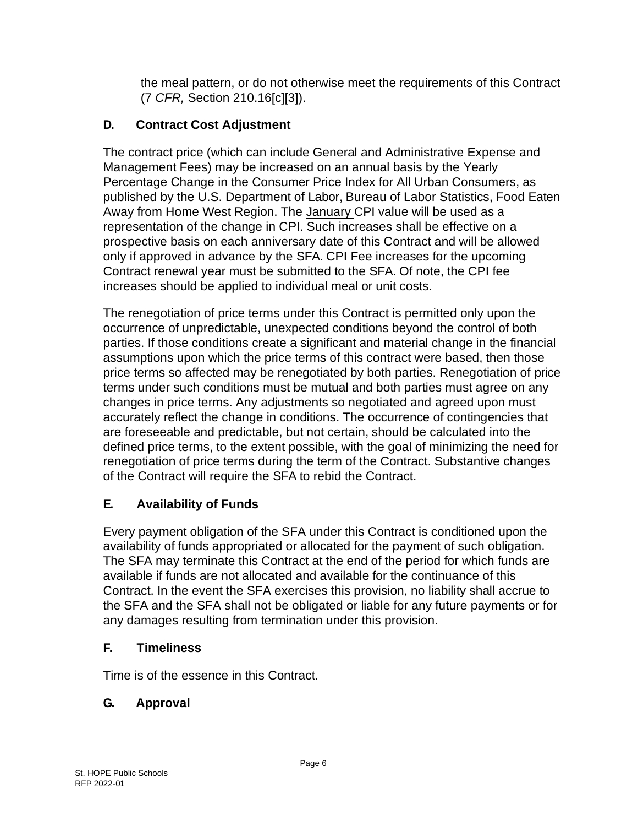the meal pattern, or do not otherwise meet the requirements of this Contract (7 *CFR,* Section 210.16[c][3]).

#### **D. Contract Cost Adjustment**

The contract price (which can include General and Administrative Expense and Management Fees) may be increased on an annual basis by the Yearly Percentage Change in the Consumer Price Index for All Urban Consumers, as published by the U.S. Department of Labor, Bureau of Labor Statistics, Food Eaten Away from Home West Region. The January CPI value will be used as a representation of the change in CPI. Such increases shall be effective on a prospective basis on each anniversary date of this Contract and will be allowed only if approved in advance by the SFA. CPI Fee increases for the upcoming Contract renewal year must be submitted to the SFA. Of note, the CPI fee increases should be applied to individual meal or unit costs.

The renegotiation of price terms under this Contract is permitted only upon the occurrence of unpredictable, unexpected conditions beyond the control of both parties. If those conditions create a significant and material change in the financial assumptions upon which the price terms of this contract were based, then those price terms so affected may be renegotiated by both parties. Renegotiation of price terms under such conditions must be mutual and both parties must agree on any changes in price terms. Any adjustments so negotiated and agreed upon must accurately reflect the change in conditions. The occurrence of contingencies that are foreseeable and predictable, but not certain, should be calculated into the defined price terms, to the extent possible, with the goal of minimizing the need for renegotiation of price terms during the term of the Contract. Substantive changes of the Contract will require the SFA to rebid the Contract.

#### **E. Availability of Funds**

Every payment obligation of the SFA under this Contract is conditioned upon the availability of funds appropriated or allocated for the payment of such obligation. The SFA may terminate this Contract at the end of the period for which funds are available if funds are not allocated and available for the continuance of this Contract. In the event the SFA exercises this provision, no liability shall accrue to the SFA and the SFA shall not be obligated or liable for any future payments or for any damages resulting from termination under this provision.

#### **F. Timeliness**

Time is of the essence in this Contract.

#### **G. Approval**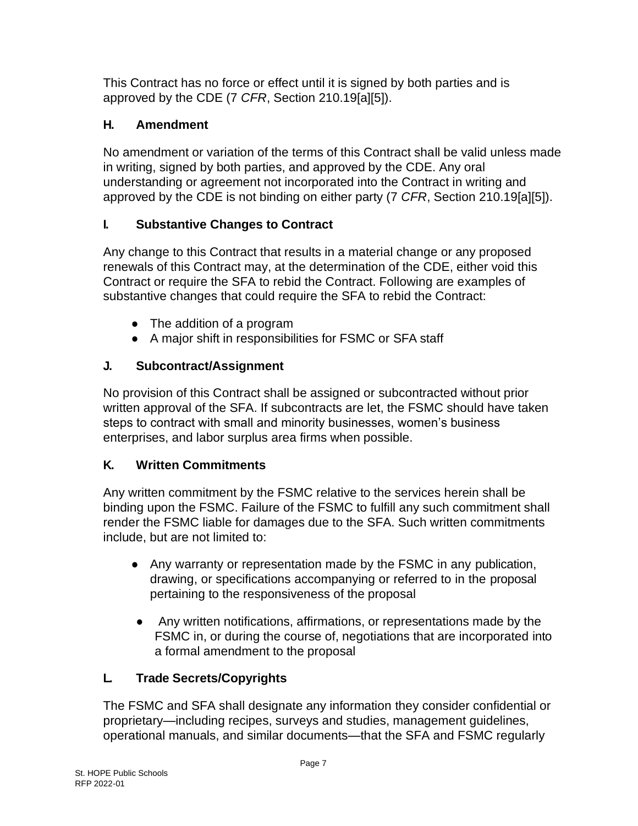This Contract has no force or effect until it is signed by both parties and is approved by the CDE (7 *CFR*, Section 210.19[a][5]).

#### **H. Amendment**

No amendment or variation of the terms of this Contract shall be valid unless made in writing, signed by both parties, and approved by the CDE. Any oral understanding or agreement not incorporated into the Contract in writing and approved by the CDE is not binding on either party (7 *CFR*, Section 210.19[a][5]).

#### **I. Substantive Changes to Contract**

Any change to this Contract that results in a material change or any proposed renewals of this Contract may, at the determination of the CDE, either void this Contract or require the SFA to rebid the Contract. Following are examples of substantive changes that could require the SFA to rebid the Contract:

- The addition of a program
- A major shift in responsibilities for FSMC or SFA staff

#### **J. Subcontract/Assignment**

No provision of this Contract shall be assigned or subcontracted without prior written approval of the SFA. If subcontracts are let, the FSMC should have taken steps to contract with small and minority businesses, women's business enterprises, and labor surplus area firms when possible.

#### **K. Written Commitments**

Any written commitment by the FSMC relative to the services herein shall be binding upon the FSMC. Failure of the FSMC to fulfill any such commitment shall render the FSMC liable for damages due to the SFA. Such written commitments include, but are not limited to:

- Any warranty or representation made by the FSMC in any publication, drawing, or specifications accompanying or referred to in the proposal pertaining to the responsiveness of the proposal
- Any written notifications, affirmations, or representations made by the FSMC in, or during the course of, negotiations that are incorporated into a formal amendment to the proposal

#### **L. Trade Secrets/Copyrights**

The FSMC and SFA shall designate any information they consider confidential or proprietary—including recipes, surveys and studies, management guidelines, operational manuals, and similar documents—that the SFA and FSMC regularly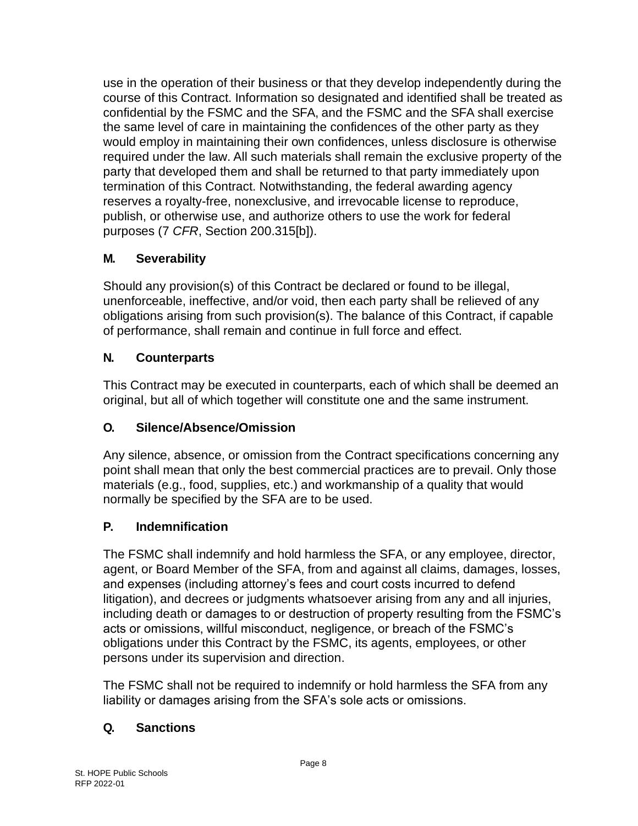use in the operation of their business or that they develop independently during the course of this Contract. Information so designated and identified shall be treated as confidential by the FSMC and the SFA, and the FSMC and the SFA shall exercise the same level of care in maintaining the confidences of the other party as they would employ in maintaining their own confidences, unless disclosure is otherwise required under the law. All such materials shall remain the exclusive property of the party that developed them and shall be returned to that party immediately upon termination of this Contract. Notwithstanding, the federal awarding agency reserves a royalty-free, nonexclusive, and irrevocable license to reproduce, publish, or otherwise use, and authorize others to use the work for federal purposes (7 *CFR*, Section 200.315[b]).

#### **M. Severability**

Should any provision(s) of this Contract be declared or found to be illegal, unenforceable, ineffective, and/or void, then each party shall be relieved of any obligations arising from such provision(s). The balance of this Contract, if capable of performance, shall remain and continue in full force and effect.

#### **N. Counterparts**

This Contract may be executed in counterparts, each of which shall be deemed an original, but all of which together will constitute one and the same instrument.

#### **O. Silence/Absence/Omission**

Any silence, absence, or omission from the Contract specifications concerning any point shall mean that only the best commercial practices are to prevail. Only those materials (e.g., food, supplies, etc.) and workmanship of a quality that would normally be specified by the SFA are to be used.

#### **P. Indemnification**

The FSMC shall indemnify and hold harmless the SFA, or any employee, director, agent, or Board Member of the SFA, from and against all claims, damages, losses, and expenses (including attorney's fees and court costs incurred to defend litigation), and decrees or judgments whatsoever arising from any and all injuries, including death or damages to or destruction of property resulting from the FSMC's acts or omissions, willful misconduct, negligence, or breach of the FSMC's obligations under this Contract by the FSMC, its agents, employees, or other persons under its supervision and direction.

The FSMC shall not be required to indemnify or hold harmless the SFA from any liability or damages arising from the SFA's sole acts or omissions.

#### **Q. Sanctions**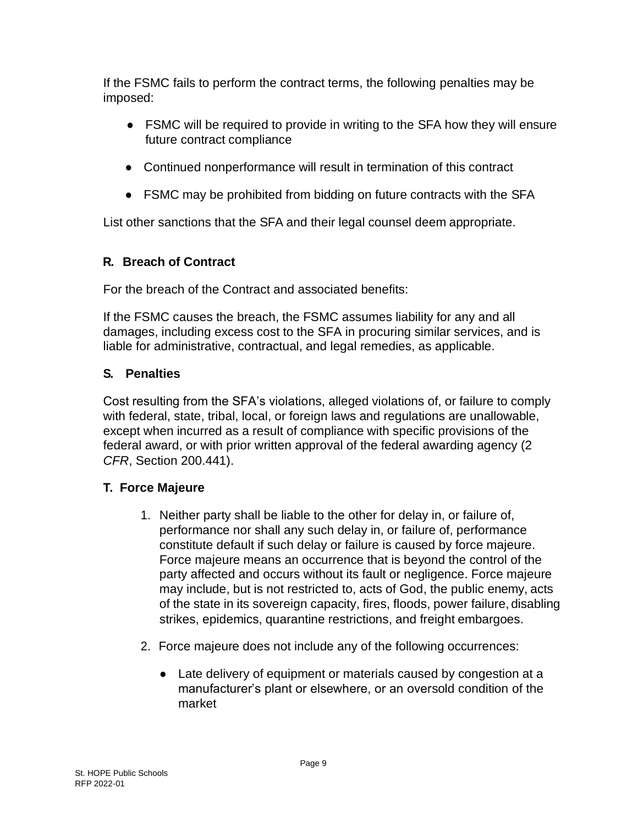If the FSMC fails to perform the contract terms, the following penalties may be imposed:

- FSMC will be required to provide in writing to the SFA how they will ensure future contract compliance
- Continued nonperformance will result in termination of this contract
- FSMC may be prohibited from bidding on future contracts with the SFA

List other sanctions that the SFA and their legal counsel deem appropriate.

#### **R. Breach of Contract**

For the breach of the Contract and associated benefits:

If the FSMC causes the breach, the FSMC assumes liability for any and all damages, including excess cost to the SFA in procuring similar services, and is liable for administrative, contractual, and legal remedies, as applicable.

#### **S. Penalties**

Cost resulting from the SFA's violations, alleged violations of, or failure to comply with federal, state, tribal, local, or foreign laws and regulations are unallowable, except when incurred as a result of compliance with specific provisions of the federal award, or with prior written approval of the federal awarding agency (2 *CFR*, Section 200.441).

#### **T. Force Majeure**

- 1. Neither party shall be liable to the other for delay in, or failure of, performance nor shall any such delay in, or failure of, performance constitute default if such delay or failure is caused by force majeure. Force majeure means an occurrence that is beyond the control of the party affected and occurs without its fault or negligence. Force majeure may include, but is not restricted to, acts of God, the public enemy, acts of the state in its sovereign capacity, fires, floods, power failure, disabling strikes, epidemics, quarantine restrictions, and freight embargoes.
- 2. Force majeure does not include any of the following occurrences:
	- Late delivery of equipment or materials caused by congestion at a manufacturer's plant or elsewhere, or an oversold condition of the market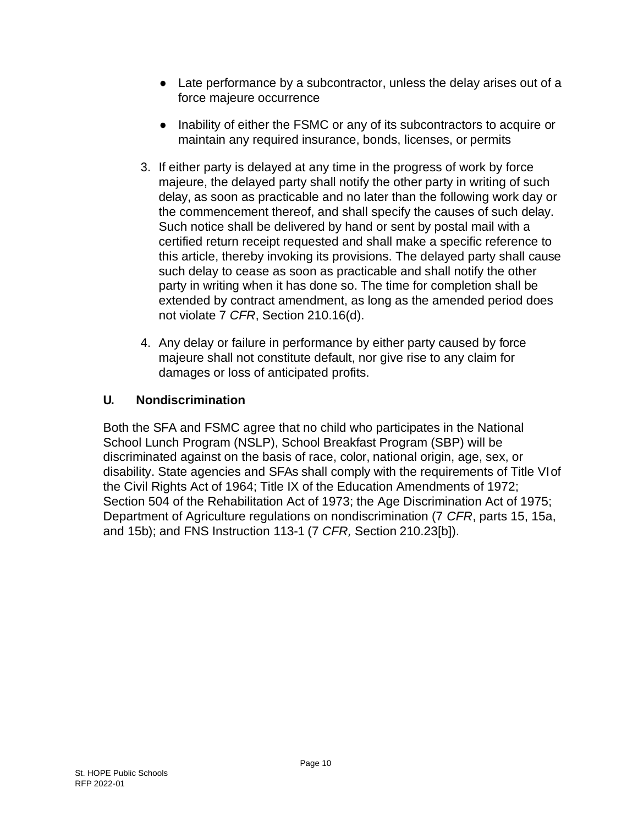- Late performance by a subcontractor, unless the delay arises out of a force majeure occurrence
- Inability of either the FSMC or any of its subcontractors to acquire or maintain any required insurance, bonds, licenses, or permits
- 3. If either party is delayed at any time in the progress of work by force majeure, the delayed party shall notify the other party in writing of such delay, as soon as practicable and no later than the following work day or the commencement thereof, and shall specify the causes of such delay. Such notice shall be delivered by hand or sent by postal mail with a certified return receipt requested and shall make a specific reference to this article, thereby invoking its provisions. The delayed party shall cause such delay to cease as soon as practicable and shall notify the other party in writing when it has done so. The time for completion shall be extended by contract amendment, as long as the amended period does not violate 7 *CFR*, Section 210.16(d).
- 4. Any delay or failure in performance by either party caused by force majeure shall not constitute default, nor give rise to any claim for damages or loss of anticipated profits.

#### **U. Nondiscrimination**

Both the SFA and FSMC agree that no child who participates in the National School Lunch Program (NSLP), School Breakfast Program (SBP) will be discriminated against on the basis of race, color, national origin, age, sex, or disability. State agencies and SFAs shall comply with the requirements of Title VIof the Civil Rights Act of 1964; Title IX of the Education Amendments of 1972; Section 504 of the Rehabilitation Act of 1973; the Age Discrimination Act of 1975; Department of Agriculture regulations on nondiscrimination (7 *CFR*, parts 15, 15a, and 15b); and FNS Instruction 113-1 (7 *CFR,* Section 210.23[b]).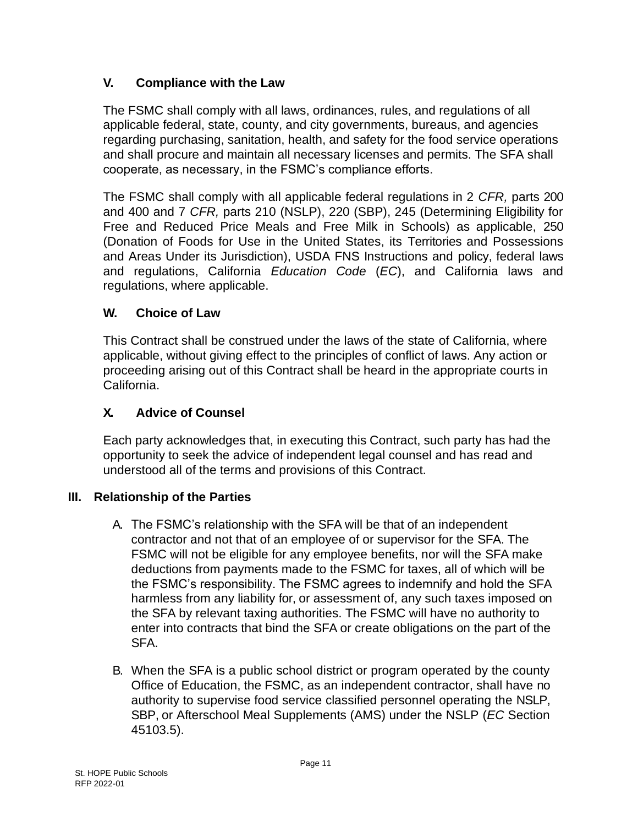#### **V. Compliance with the Law**

The FSMC shall comply with all laws, ordinances, rules, and regulations of all applicable federal, state, county, and city governments, bureaus, and agencies regarding purchasing, sanitation, health, and safety for the food service operations and shall procure and maintain all necessary licenses and permits. The SFA shall cooperate, as necessary, in the FSMC's compliance efforts.

The FSMC shall comply with all applicable federal regulations in 2 *CFR,* parts 200 and 400 and 7 *CFR,* parts 210 (NSLP), 220 (SBP), 245 (Determining Eligibility for Free and Reduced Price Meals and Free Milk in Schools) as applicable, 250 (Donation of Foods for Use in the United States, its Territories and Possessions and Areas Under its Jurisdiction), USDA FNS Instructions and policy, federal laws and regulations, California *Education Code* (*EC*), and California laws and regulations, where applicable.

#### **W. Choice of Law**

This Contract shall be construed under the laws of the state of California, where applicable, without giving effect to the principles of conflict of laws. Any action or proceeding arising out of this Contract shall be heard in the appropriate courts in California.

#### **X. Advice of Counsel**

Each party acknowledges that, in executing this Contract, such party has had the opportunity to seek the advice of independent legal counsel and has read and understood all of the terms and provisions of this Contract.

#### **III. Relationship of the Parties**

- A. The FSMC's relationship with the SFA will be that of an independent contractor and not that of an employee of or supervisor for the SFA. The FSMC will not be eligible for any employee benefits, nor will the SFA make deductions from payments made to the FSMC for taxes, all of which will be the FSMC's responsibility. The FSMC agrees to indemnify and hold the SFA harmless from any liability for, or assessment of, any such taxes imposed on the SFA by relevant taxing authorities. The FSMC will have no authority to enter into contracts that bind the SFA or create obligations on the part of the SFA.
- B. When the SFA is a public school district or program operated by the county Office of Education, the FSMC, as an independent contractor, shall have no authority to supervise food service classified personnel operating the NSLP, SBP, or Afterschool Meal Supplements (AMS) under the NSLP (*EC* Section 45103.5).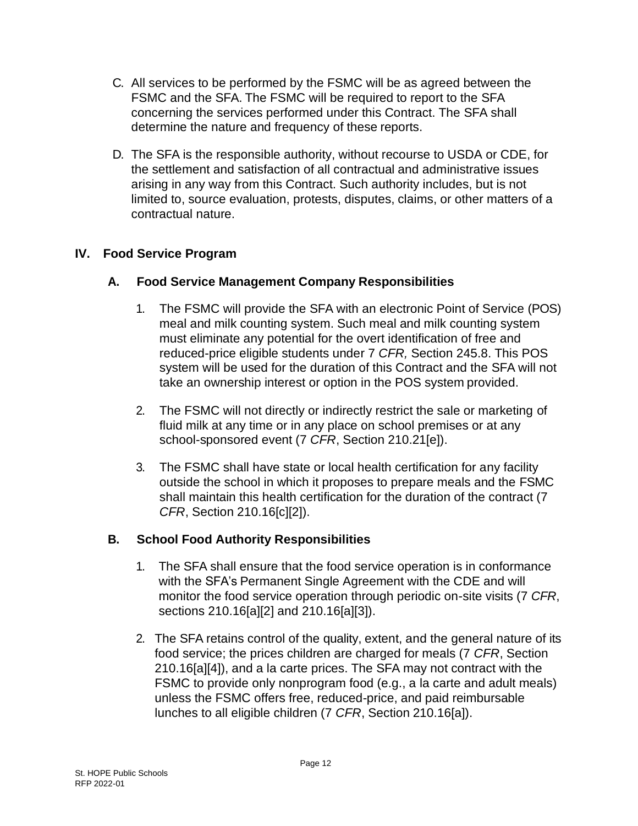- C. All services to be performed by the FSMC will be as agreed between the FSMC and the SFA. The FSMC will be required to report to the SFA concerning the services performed under this Contract. The SFA shall determine the nature and frequency of these reports.
- D. The SFA is the responsible authority, without recourse to USDA or CDE, for the settlement and satisfaction of all contractual and administrative issues arising in any way from this Contract. Such authority includes, but is not limited to, source evaluation, protests, disputes, claims, or other matters of a contractual nature.

#### **IV. Food Service Program**

#### **A. Food Service Management Company Responsibilities**

- 1. The FSMC will provide the SFA with an electronic Point of Service (POS) meal and milk counting system. Such meal and milk counting system must eliminate any potential for the overt identification of free and reduced-price eligible students under 7 *CFR,* Section 245.8. This POS system will be used for the duration of this Contract and the SFA will not take an ownership interest or option in the POS system provided.
- 2. The FSMC will not directly or indirectly restrict the sale or marketing of fluid milk at any time or in any place on school premises or at any school-sponsored event (7 *CFR*, Section 210.21[e]).
- 3. The FSMC shall have state or local health certification for any facility outside the school in which it proposes to prepare meals and the FSMC shall maintain this health certification for the duration of the contract (7 *CFR*, Section 210.16[c][2]).

#### **B. School Food Authority Responsibilities**

- 1. The SFA shall ensure that the food service operation is in conformance with the SFA's Permanent Single Agreement with the CDE and will monitor the food service operation through periodic on-site visits (7 *CFR*, sections 210.16[a][2] and 210.16[a][3]).
- 2. The SFA retains control of the quality, extent, and the general nature of its food service; the prices children are charged for meals (7 *CFR*, Section 210.16[a][4]), and a la carte prices. The SFA may not contract with the FSMC to provide only nonprogram food (e.g., a la carte and adult meals) unless the FSMC offers free, reduced-price, and paid reimbursable lunches to all eligible children (7 *CFR*, Section 210.16[a]).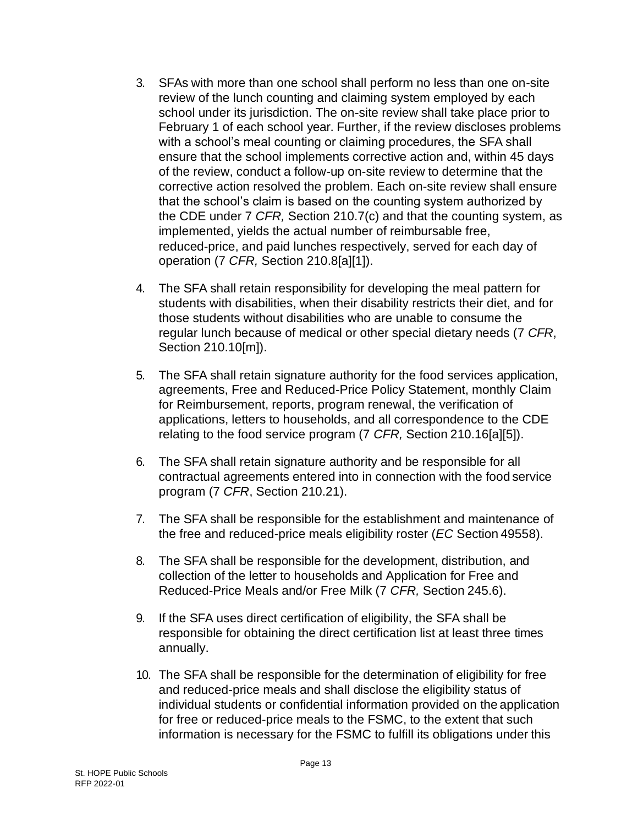- 3. SFAs with more than one school shall perform no less than one on-site review of the lunch counting and claiming system employed by each school under its jurisdiction. The on-site review shall take place prior to February 1 of each school year. Further, if the review discloses problems with a school's meal counting or claiming procedures, the SFA shall ensure that the school implements corrective action and, within 45 days of the review, conduct a follow-up on-site review to determine that the corrective action resolved the problem. Each on-site review shall ensure that the school's claim is based on the counting system authorized by the CDE under 7 *CFR,* Section 210.7(c) and that the counting system, as implemented, yields the actual number of reimbursable free, reduced-price, and paid lunches respectively, served for each day of operation (7 *CFR,* Section 210.8[a][1]).
- 4. The SFA shall retain responsibility for developing the meal pattern for students with disabilities, when their disability restricts their diet, and for those students without disabilities who are unable to consume the regular lunch because of medical or other special dietary needs (7 *CFR*, Section 210.10[m]).
- 5. The SFA shall retain signature authority for the food services application, agreements, Free and Reduced-Price Policy Statement, monthly Claim for Reimbursement, reports, program renewal, the verification of applications, letters to households, and all correspondence to the CDE relating to the food service program (7 *CFR,* Section 210.16[a][5]).
- 6. The SFA shall retain signature authority and be responsible for all contractual agreements entered into in connection with the food service program (7 *CFR*, Section 210.21).
- 7. The SFA shall be responsible for the establishment and maintenance of the free and reduced-price meals eligibility roster (*EC* Section 49558).
- 8. The SFA shall be responsible for the development, distribution, and collection of the letter to households and Application for Free and Reduced-Price Meals and/or Free Milk (7 *CFR,* Section 245.6).
- 9. If the SFA uses direct certification of eligibility, the SFA shall be responsible for obtaining the direct certification list at least three times annually.
- 10. The SFA shall be responsible for the determination of eligibility for free and reduced-price meals and shall disclose the eligibility status of individual students or confidential information provided on the application for free or reduced-price meals to the FSMC, to the extent that such information is necessary for the FSMC to fulfill its obligations under this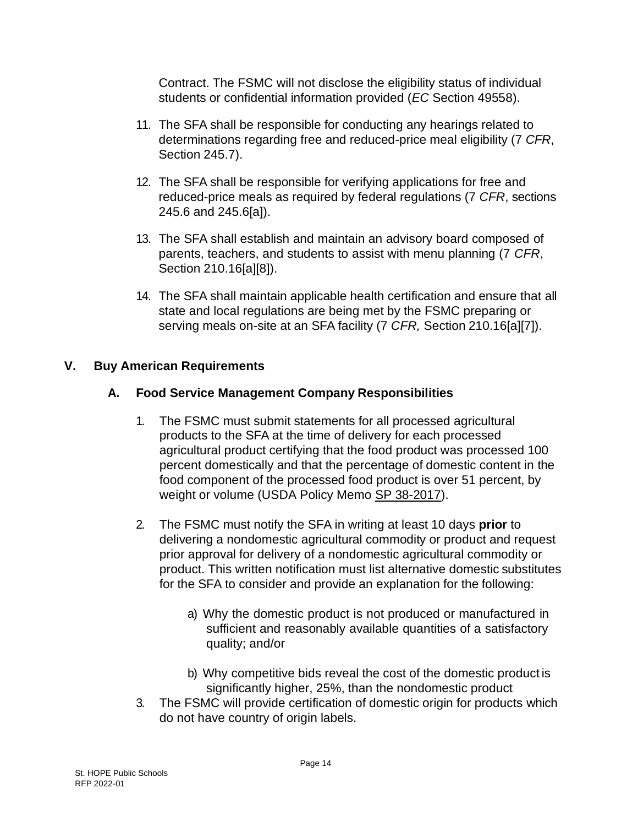Contract. The FSMC will not disclose the eligibility status of individual students or confidential information provided (*EC* Section 49558).

- 11. The SFA shall be responsible for conducting any hearings related to determinations regarding free and reduced-price meal eligibility (7 *CFR*, Section 245.7).
- 12. The SFA shall be responsible for verifying applications for free and reduced-price meals as required by federal regulations (7 *CFR*, sections 245.6 and 245.6[a]).
- 13. The SFA shall establish and maintain an advisory board composed of parents, teachers, and students to assist with menu planning (7 *CFR*, Section 210.16[a][8]).
- 14. The SFA shall maintain applicable health certification and ensure that all state and local regulations are being met by the FSMC preparing or serving meals on-site at an SFA facility (7 *CFR,* Section 210.16[a][7]).

#### **V. Buy American Requirements**

#### **A. Food Service Management Company Responsibilities**

- 1. The FSMC must submit statements for all processed agricultural products to the SFA at the time of delivery for each processed agricultural product certifying that the food product was processed 100 percent domestically and that the percentage of domestic content in the food component of the processed food product is over 51 percent, by weight or volume (USDA Policy Memo SP [38-2017\)](https://fns-prod.azureedge.net/sites/default/files/cn/SP38-2017os.pdf).
- 2. The FSMC must notify the SFA in writing at least 10 days **prior** to delivering a nondomestic agricultural commodity or product and request prior approval for delivery of a nondomestic agricultural commodity or product. This written notification must list alternative domestic substitutes for the SFA to consider and provide an explanation for the following:
	- a) Why the domestic product is not produced or manufactured in sufficient and reasonably available quantities of a satisfactory quality; and/or
	- b) Why competitive bids reveal the cost of the domestic product is significantly higher, 25%, than the nondomestic product
- 3. The FSMC will provide certification of domestic origin for products which do not have country of origin labels.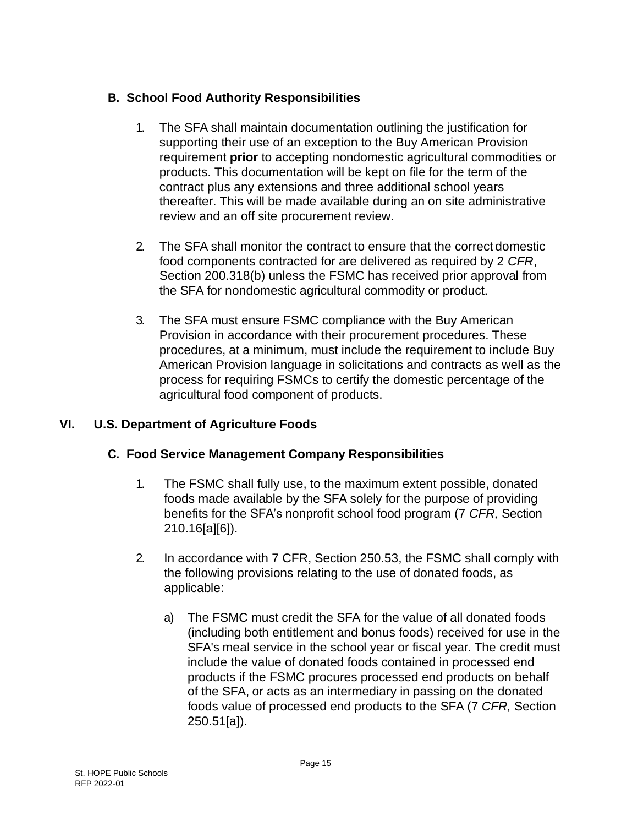#### **B. School Food Authority Responsibilities**

- 1. The SFA shall maintain documentation outlining the justification for supporting their use of an exception to the Buy American Provision requirement **prior** to accepting nondomestic agricultural commodities or products. This documentation will be kept on file for the term of the contract plus any extensions and three additional school years thereafter. This will be made available during an on site administrative review and an off site procurement review.
- 2. The SFA shall monitor the contract to ensure that the correct domestic food components contracted for are delivered as required by 2 *CFR*, Section 200.318(b) unless the FSMC has received prior approval from the SFA for nondomestic agricultural commodity or product.
- 3. The SFA must ensure FSMC compliance with the Buy American Provision in accordance with their procurement procedures. These procedures, at a minimum, must include the requirement to include Buy American Provision language in solicitations and contracts as well as the process for requiring FSMCs to certify the domestic percentage of the agricultural food component of products.

#### **VI. U.S. Department of Agriculture Foods**

#### **C. Food Service Management Company Responsibilities**

- 1. The FSMC shall fully use, to the maximum extent possible, donated foods made available by the SFA solely for the purpose of providing benefits for the SFA's nonprofit school food program (7 *CFR,* Section 210.16[a][6]).
- 2. In accordance with 7 CFR, Section 250.53, the FSMC shall comply with the following provisions relating to the use of donated foods, as applicable:
	- a) The FSMC must credit the SFA for the value of all donated foods (including both entitlement and bonus foods) received for use in the SFA's meal service in the school year or fiscal year. The credit must include the value of donated foods contained in processed end products if the FSMC procures processed end products on behalf of the SFA, or acts as an intermediary in passing on the donated foods value of processed end products to the SFA (7 *CFR,* Section 250.51[a]).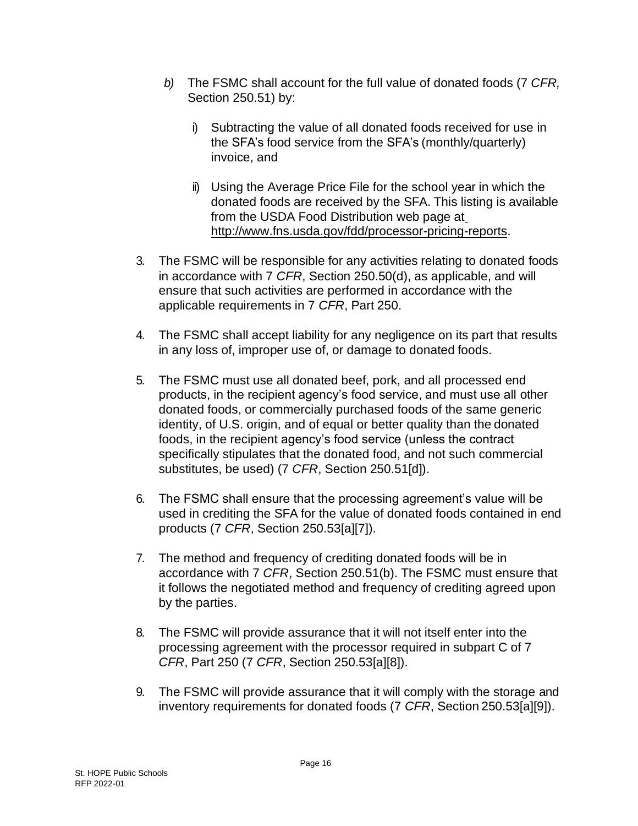- *b)* The FSMC shall account for the full value of donated foods (7 *CFR,* Section 250.51) by:
	- i) Subtracting the value of all donated foods received for use in the SFA's food service from the SFA's (monthly/quarterly) invoice, and
	- ii) Using the Average Price File for the school year in which the donated foods are received by the SFA. This listing is available from the USDA Food Distribution web page a[t](http://www.fns.usda.gov/fdd/processor-pricing-reports) [http://www.fns.usda.gov/fdd/processor-pricing-reports.](http://www.fns.usda.gov/fdd/processor-pricing-reports)
- 3. The FSMC will be responsible for any activities relating to donated foods in accordance with 7 *CFR*, Section 250.50(d), as applicable, and will ensure that such activities are performed in accordance with the applicable requirements in 7 *CFR*, Part 250.
- 4. The FSMC shall accept liability for any negligence on its part that results in any loss of, improper use of, or damage to donated foods.
- 5. The FSMC must use all donated beef, pork, and all processed end products, in the recipient agency's food service, and must use all other donated foods, or commercially purchased foods of the same generic identity, of U.S. origin, and of equal or better quality than the donated foods, in the recipient agency's food service (unless the contract specifically stipulates that the donated food, and not such commercial substitutes, be used) (7 *CFR*, Section 250.51[d]).
- 6. The FSMC shall ensure that the processing agreement's value will be used in crediting the SFA for the value of donated foods contained in end products (7 *CFR*, Section 250.53[a][7]).
- 7. The method and frequency of crediting donated foods will be in accordance with 7 *CFR*, Section 250.51(b). The FSMC must ensure that it follows the negotiated method and frequency of crediting agreed upon by the parties.
- 8. The FSMC will provide assurance that it will not itself enter into the processing agreement with the processor required in subpart C of 7 *CFR*, Part 250 (7 *CFR*, Section 250.53[a][8]).
- 9. The FSMC will provide assurance that it will comply with the storage and inventory requirements for donated foods (7 *CFR*, Section 250.53[a][9]).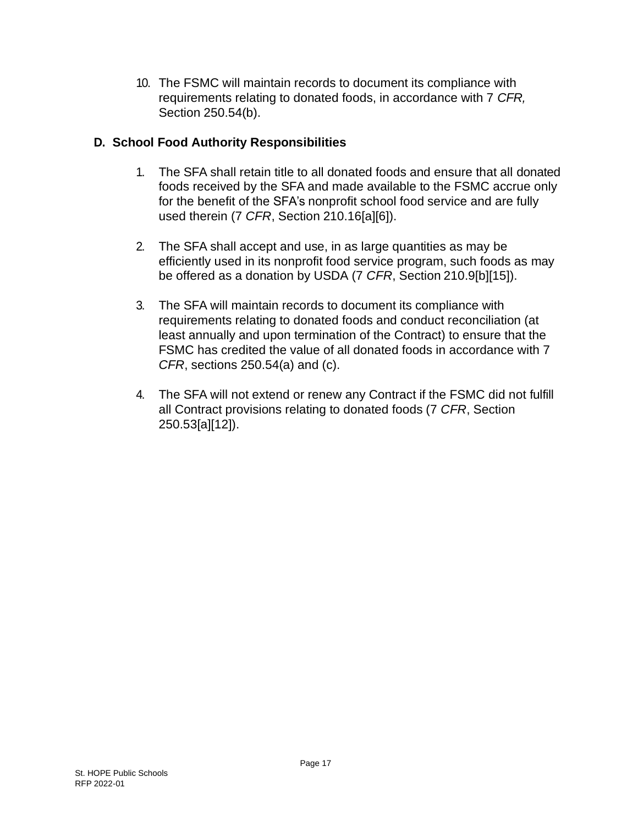10. The FSMC will maintain records to document its compliance with requirements relating to donated foods, in accordance with 7 *CFR,*  Section 250.54(b).

#### **D. School Food Authority Responsibilities**

- 1. The SFA shall retain title to all donated foods and ensure that all donated foods received by the SFA and made available to the FSMC accrue only for the benefit of the SFA's nonprofit school food service and are fully used therein (7 *CFR*, Section 210.16[a][6]).
- 2. The SFA shall accept and use, in as large quantities as may be efficiently used in its nonprofit food service program, such foods as may be offered as a donation by USDA (7 *CFR*, Section 210.9[b][15]).
- 3. The SFA will maintain records to document its compliance with requirements relating to donated foods and conduct reconciliation (at least annually and upon termination of the Contract) to ensure that the FSMC has credited the value of all donated foods in accordance with 7 *CFR*, sections 250.54(a) and (c).
- 4. The SFA will not extend or renew any Contract if the FSMC did not fulfill all Contract provisions relating to donated foods (7 *CFR*, Section 250.53[a][12]).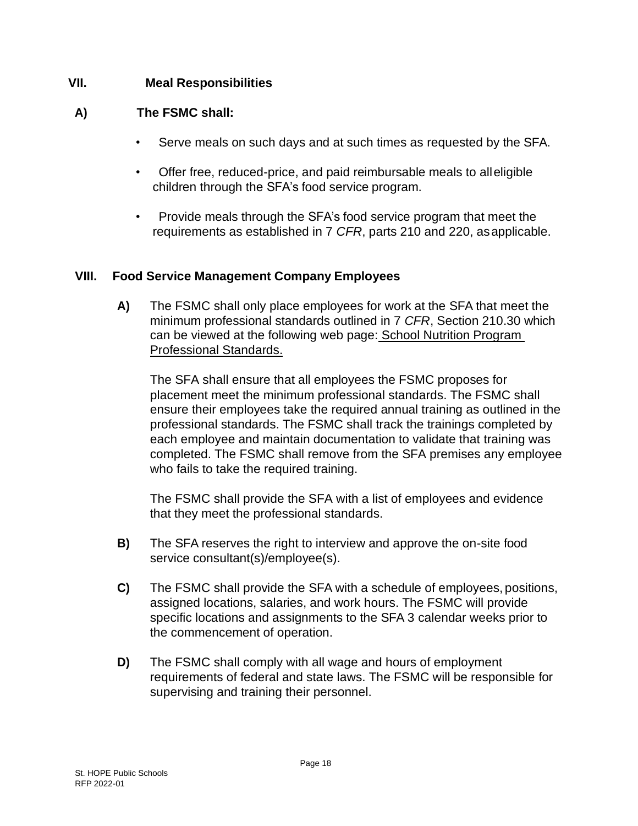#### **VII. Meal Responsibilities**

#### **A) The FSMC shall:**

- Serve meals on such days and at such times as requested by the SFA.
- Offer free, reduced-price, and paid reimbursable meals to alleligible children through the SFA's food service program.
- Provide meals through the SFA's food service program that meet the requirements as established in 7 *CFR*, parts 210 and 220, asapplicable.

#### **VIII. Food Service Management Company Employees**

**A)** The FSMC shall only place employees for work at the SFA that meet the minimum professional standards outlined in 7 *CFR*, Section 210.30 which can be viewed at the following web page: [School Nutrition Program](https://www.ecfr.gov/cgi-bin/text-idx?SID=d8a1ee2cb508be548dccde3aad0c013e&mc=true&node=se7.4.210_130&rgn=div8) [Professional Standards.](https://www.ecfr.gov/cgi-bin/text-idx?SID=d8a1ee2cb508be548dccde3aad0c013e&mc=true&node=se7.4.210_130&rgn=div8)

The SFA shall ensure that all employees the FSMC proposes for placement meet the minimum professional standards. The FSMC shall ensure their employees take the required annual training as outlined in the professional standards. The FSMC shall track the trainings completed by each employee and maintain documentation to validate that training was completed. The FSMC shall remove from the SFA premises any employee who fails to take the required training.

The FSMC shall provide the SFA with a list of employees and evidence that they meet the professional standards.

- **B)** The SFA reserves the right to interview and approve the on-site food service consultant(s)/employee(s).
- **C)** The FSMC shall provide the SFA with a schedule of employees, positions, assigned locations, salaries, and work hours. The FSMC will provide specific locations and assignments to the SFA 3 calendar weeks prior to the commencement of operation.
- **D)** The FSMC shall comply with all wage and hours of employment requirements of federal and state laws. The FSMC will be responsible for supervising and training their personnel.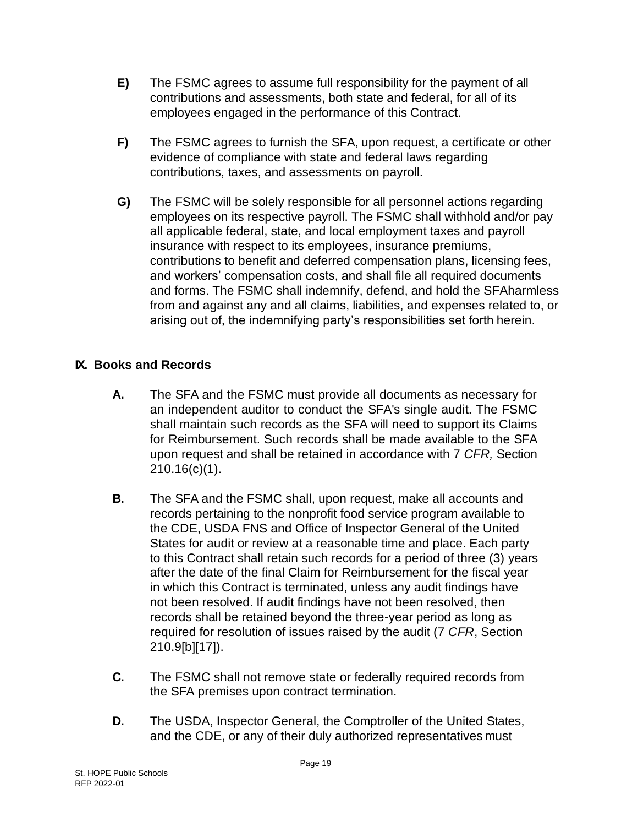- **E)** The FSMC agrees to assume full responsibility for the payment of all contributions and assessments, both state and federal, for all of its employees engaged in the performance of this Contract.
- **F)** The FSMC agrees to furnish the SFA, upon request, a certificate or other evidence of compliance with state and federal laws regarding contributions, taxes, and assessments on payroll.
- **G)** The FSMC will be solely responsible for all personnel actions regarding employees on its respective payroll. The FSMC shall withhold and/or pay all applicable federal, state, and local employment taxes and payroll insurance with respect to its employees, insurance premiums, contributions to benefit and deferred compensation plans, licensing fees, and workers' compensation costs, and shall file all required documents and forms. The FSMC shall indemnify, defend, and hold the SFAharmless from and against any and all claims, liabilities, and expenses related to, or arising out of, the indemnifying party's responsibilities set forth herein.

#### **IX. Books and Records**

- **A.** The SFA and the FSMC must provide all documents as necessary for an independent auditor to conduct the SFA's single audit. The FSMC shall maintain such records as the SFA will need to support its Claims for Reimbursement. Such records shall be made available to the SFA upon request and shall be retained in accordance with 7 *CFR,* Section 210.16(c)(1).
- **B.** The SFA and the FSMC shall, upon request, make all accounts and records pertaining to the nonprofit food service program available to the CDE, USDA FNS and Office of Inspector General of the United States for audit or review at a reasonable time and place. Each party to this Contract shall retain such records for a period of three (3) years after the date of the final Claim for Reimbursement for the fiscal year in which this Contract is terminated, unless any audit findings have not been resolved. If audit findings have not been resolved, then records shall be retained beyond the three-year period as long as required for resolution of issues raised by the audit (7 *CFR*, Section 210.9[b][17]).
- **C.** The FSMC shall not remove state or federally required records from the SFA premises upon contract termination.
- **D.** The USDA, Inspector General, the Comptroller of the United States, and the CDE, or any of their duly authorized representatives must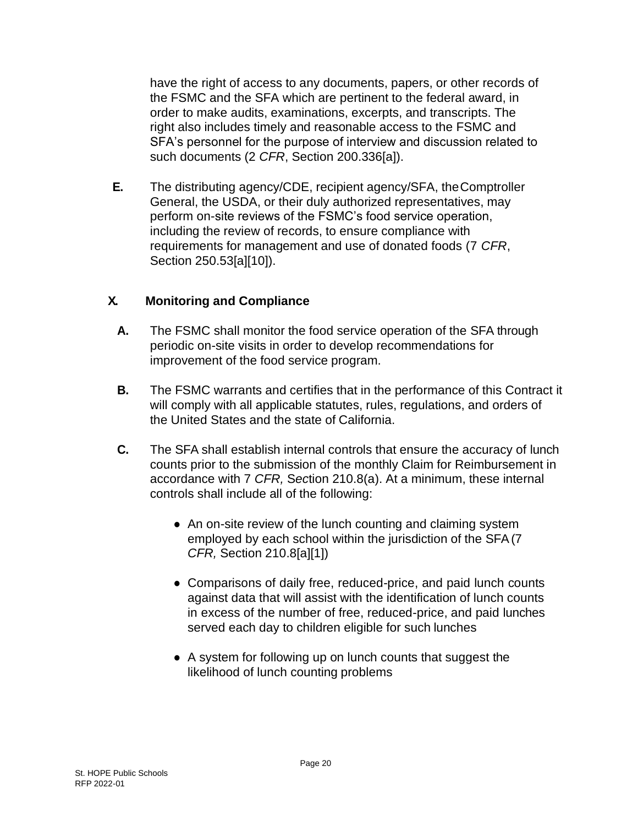have the right of access to any documents, papers, or other records of the FSMC and the SFA which are pertinent to the federal award, in order to make audits, examinations, excerpts, and transcripts. The right also includes timely and reasonable access to the FSMC and SFA's personnel for the purpose of interview and discussion related to such documents (2 *CFR*, Section 200.336[a]).

**E.** The distributing agency/CDE, recipient agency/SFA, theComptroller General, the USDA, or their duly authorized representatives, may perform on-site reviews of the FSMC's food service operation, including the review of records, to ensure compliance with requirements for management and use of donated foods (7 *CFR*, Section 250.53[a][10]).

#### **X. Monitoring and Compliance**

- **A.** The FSMC shall monitor the food service operation of the SFA through periodic on-site visits in order to develop recommendations for improvement of the food service program.
- **B.** The FSMC warrants and certifies that in the performance of this Contract it will comply with all applicable statutes, rules, regulations, and orders of the United States and the state of California.
- **C.** The SFA shall establish internal controls that ensure the accuracy of lunch counts prior to the submission of the monthly Claim for Reimbursement in accordance with 7 *CFR,* S*ec*tion 210.8(a). At a minimum, these internal controls shall include all of the following:
	- An on-site review of the lunch counting and claiming system employed by each school within the jurisdiction of the SFA(7 *CFR,* Section 210.8[a][1])
	- Comparisons of daily free, reduced-price, and paid lunch counts against data that will assist with the identification of lunch counts in excess of the number of free, reduced-price, and paid lunches served each day to children eligible for such lunches
	- A system for following up on lunch counts that suggest the likelihood of lunch counting problems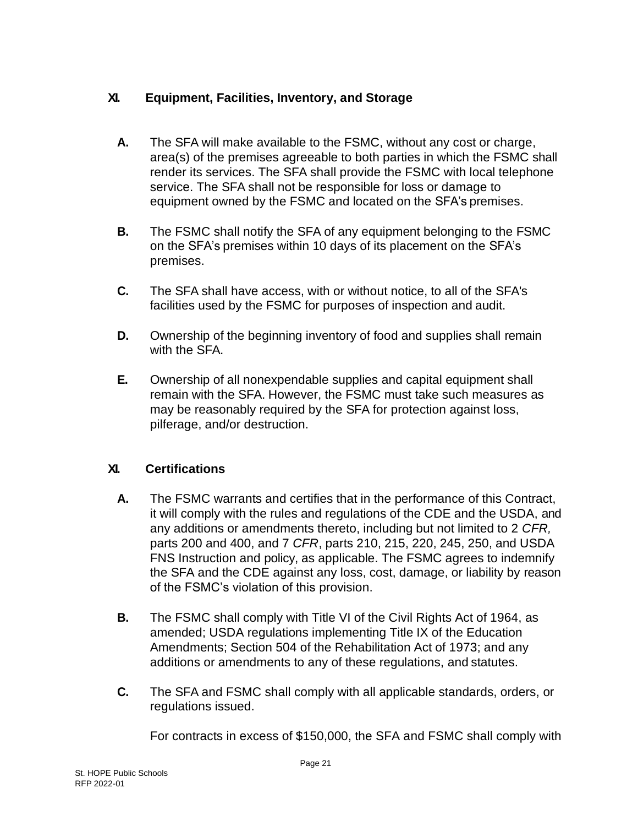#### **XI. Equipment, Facilities, Inventory, and Storage**

- **A.** The SFA will make available to the FSMC, without any cost or charge, area(s) of the premises agreeable to both parties in which the FSMC shall render its services. The SFA shall provide the FSMC with local telephone service. The SFA shall not be responsible for loss or damage to equipment owned by the FSMC and located on the SFA's premises.
- **B.** The FSMC shall notify the SFA of any equipment belonging to the FSMC on the SFA's premises within 10 days of its placement on the SFA's premises.
- **C.** The SFA shall have access, with or without notice, to all of the SFA's facilities used by the FSMC for purposes of inspection and audit.
- **D.** Ownership of the beginning inventory of food and supplies shall remain with the SFA.
- **E.** Ownership of all nonexpendable supplies and capital equipment shall remain with the SFA. However, the FSMC must take such measures as may be reasonably required by the SFA for protection against loss, pilferage, and/or destruction.

#### **XI. Certifications**

- **A.** The FSMC warrants and certifies that in the performance of this Contract, it will comply with the rules and regulations of the CDE and the USDA, and any additions or amendments thereto, including but not limited to 2 *CFR,*  parts 200 and 400, and 7 *CFR*, parts 210, 215, 220, 245, 250, and USDA FNS Instruction and policy, as applicable. The FSMC agrees to indemnify the SFA and the CDE against any loss, cost, damage, or liability by reason of the FSMC's violation of this provision.
- **B.** The FSMC shall comply with Title VI of the Civil Rights Act of 1964, as amended; USDA regulations implementing Title IX of the Education Amendments; Section 504 of the Rehabilitation Act of 1973; and any additions or amendments to any of these regulations, and statutes.
- **C.** The SFA and FSMC shall comply with all applicable standards, orders, or regulations issued.

For contracts in excess of \$150,000, the SFA and FSMC shall comply with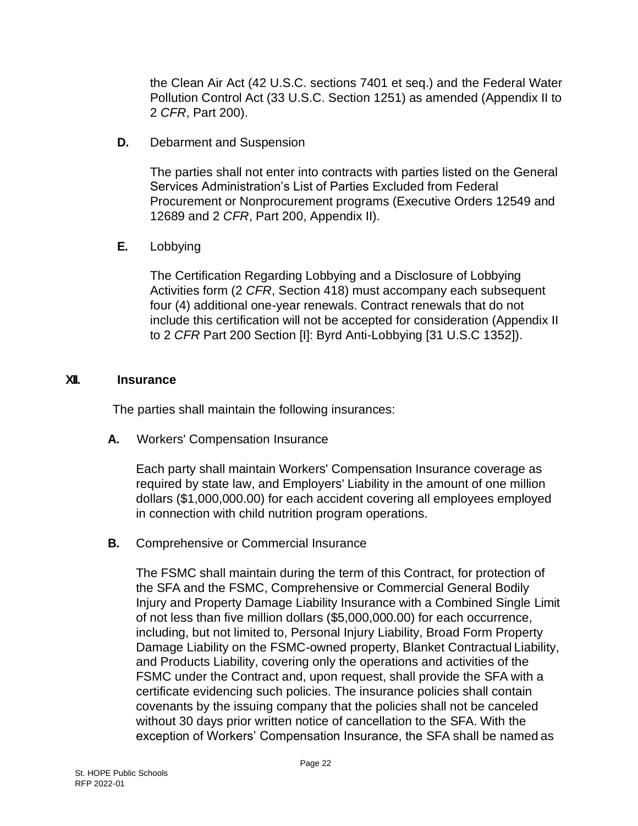the Clean Air Act (42 U.S.C. sections 7401 et seq.) and the Federal Water Pollution Control Act (33 U.S.C. Section 1251) as amended (Appendix II to 2 *CFR*, Part 200).

**D.** Debarment and Suspension

The parties shall not enter into contracts with parties listed on the General Services Administration's List of Parties Excluded from Federal Procurement or Nonprocurement programs (Executive Orders 12549 and 12689 and 2 *CFR*, Part 200, Appendix II).

**E.** Lobbying

The Certification Regarding Lobbying and a Disclosure of Lobbying Activities form (2 *CFR*, Section 418) must accompany each subsequent four (4) additional one-year renewals. Contract renewals that do not include this certification will not be accepted for consideration (Appendix II to 2 *CFR* Part 200 Section [I]: Byrd Anti-Lobbying [31 U.S.C 1352]).

#### **XII. Insurance**

The parties shall maintain the following insurances:

**A.** Workers' Compensation Insurance

Each party shall maintain Workers' Compensation Insurance coverage as required by state law, and Employers' Liability in the amount of one million dollars (\$1,000,000.00) for each accident covering all employees employed in connection with child nutrition program operations.

**B.** Comprehensive or Commercial Insurance

The FSMC shall maintain during the term of this Contract, for protection of the SFA and the FSMC, Comprehensive or Commercial General Bodily Injury and Property Damage Liability Insurance with a Combined Single Limit of not less than five million dollars (\$5,000,000.00) for each occurrence, including, but not limited to, Personal Injury Liability, Broad Form Property Damage Liability on the FSMC-owned property, Blanket Contractual Liability, and Products Liability, covering only the operations and activities of the FSMC under the Contract and, upon request, shall provide the SFA with a certificate evidencing such policies. The insurance policies shall contain covenants by the issuing company that the policies shall not be canceled without 30 days prior written notice of cancellation to the SFA. With the exception of Workers' Compensation Insurance, the SFA shall be named as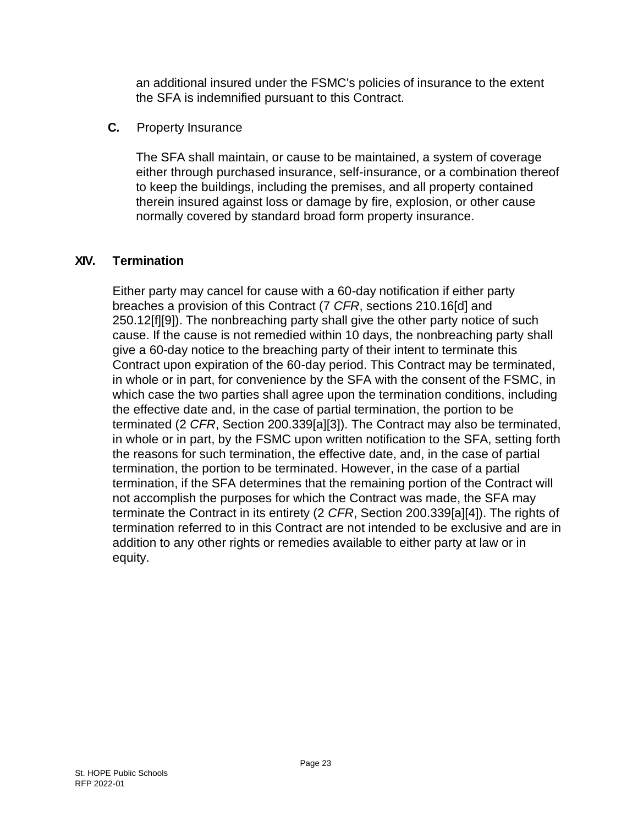an additional insured under the FSMC's policies of insurance to the extent the SFA is indemnified pursuant to this Contract.

**C.** Property Insurance

The SFA shall maintain, or cause to be maintained, a system of coverage either through purchased insurance, self-insurance, or a combination thereof to keep the buildings, including the premises, and all property contained therein insured against loss or damage by fire, explosion, or other cause normally covered by standard broad form property insurance.

#### **XIV. Termination**

Either party may cancel for cause with a 60-day notification if either party breaches a provision of this Contract (7 *CFR*, sections 210.16[d] and 250.12[f][9]). The nonbreaching party shall give the other party notice of such cause. If the cause is not remedied within 10 days, the nonbreaching party shall give a 60-day notice to the breaching party of their intent to terminate this Contract upon expiration of the 60-day period. This Contract may be terminated, in whole or in part, for convenience by the SFA with the consent of the FSMC, in which case the two parties shall agree upon the termination conditions, including the effective date and, in the case of partial termination, the portion to be terminated (2 *CFR*, Section 200.339[a][3]). The Contract may also be terminated, in whole or in part, by the FSMC upon written notification to the SFA, setting forth the reasons for such termination, the effective date, and, in the case of partial termination, the portion to be terminated. However, in the case of a partial termination, if the SFA determines that the remaining portion of the Contract will not accomplish the purposes for which the Contract was made, the SFA may terminate the Contract in its entirety (2 *CFR*, Section 200.339[a][4]). The rights of termination referred to in this Contract are not intended to be exclusive and are in addition to any other rights or remedies available to either party at law or in equity.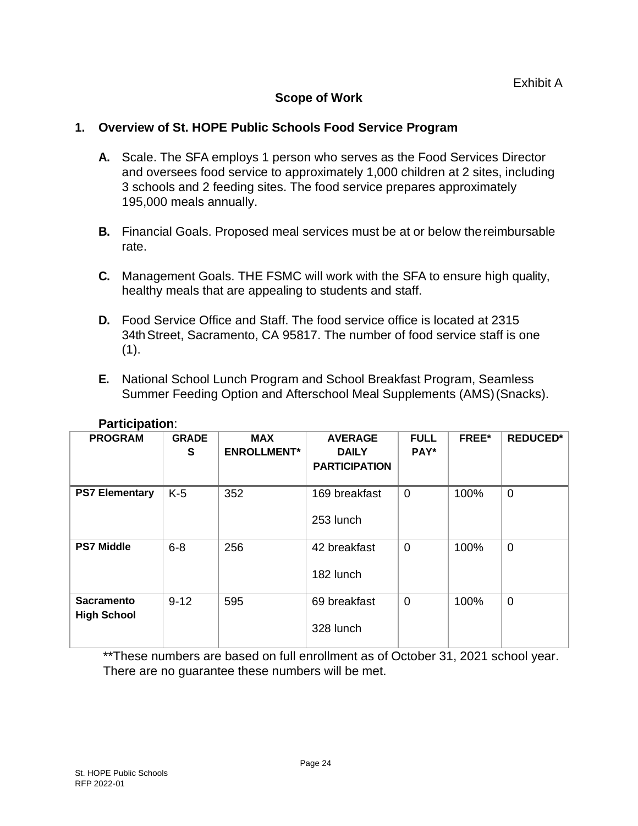#### **Scope of Work**

#### **1. Overview of St. HOPE Public Schools Food Service Program**

- **A.** Scale. The SFA employs 1 person who serves as the Food Services Director and oversees food service to approximately 1,000 children at 2 sites, including 3 schools and 2 feeding sites. The food service prepares approximately 195,000 meals annually.
- **B.** Financial Goals. Proposed meal services must be at or below thereimbursable rate.
- **C.** Management Goals. THE FSMC will work with the SFA to ensure high quality, healthy meals that are appealing to students and staff.
- **D.** Food Service Office and Staff. The food service office is located at 2315 34thStreet, Sacramento, CA 95817. The number of food service staff is one  $(1).$
- **E.** National School Lunch Program and School Breakfast Program, Seamless Summer Feeding Option and Afterschool Meal Supplements (AMS)(Snacks).

| <b>PROGRAM</b>                          | <b>GRADE</b><br>S | <b>MAX</b><br><b>ENROLLMENT*</b> | <b>AVERAGE</b><br><b>DAILY</b><br><b>PARTICIPATION</b> | <b>FULL</b><br>PAY* | FREE* | <b>REDUCED*</b> |
|-----------------------------------------|-------------------|----------------------------------|--------------------------------------------------------|---------------------|-------|-----------------|
| <b>PS7 Elementary</b>                   | $K-5$             | 352                              | 169 breakfast<br>253 lunch                             | $\mathbf 0$         | 100%  | $\mathbf 0$     |
| <b>PS7 Middle</b>                       | $6 - 8$           | 256                              | 42 breakfast<br>182 lunch                              | 0                   | 100%  | $\mathbf 0$     |
| <b>Sacramento</b><br><b>High School</b> | $9 - 12$          | 595                              | 69 breakfast<br>328 lunch                              | 0                   | 100%  | $\mathbf 0$     |

#### **Participation**:

\*\*These numbers are based on full enrollment as of October 31, 2021 school year. There are no guarantee these numbers will be met.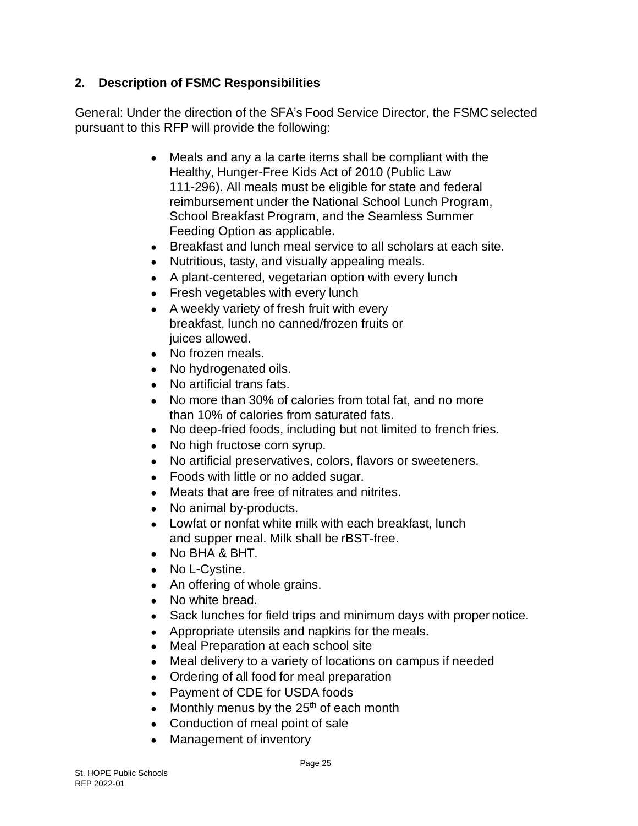#### **2. Description of FSMC Responsibilities**

General: Under the direction of the SFA's Food Service Director, the FSMC selected pursuant to this RFP will provide the following:

- Meals and any a la carte items shall be compliant with the Healthy, Hunger-Free Kids Act of 2010 (Public Law 111-296). All meals must be eligible for state and federal reimbursement under the National School Lunch Program, School Breakfast Program, and the Seamless Summer Feeding Option as applicable.
- Breakfast and lunch meal service to all scholars at each site.
- Nutritious, tasty, and visually appealing meals.
- A plant-centered, vegetarian option with every lunch
- Fresh vegetables with every lunch
- A weekly variety of fresh fruit with every breakfast, lunch no canned/frozen fruits or juices allowed.
- No frozen meals.
- No hydrogenated oils.
- No artificial trans fats.
- No more than 30% of calories from total fat, and no more than 10% of calories from saturated fats.
- No deep-fried foods, including but not limited to french fries.
- No high fructose corn syrup.
- No artificial preservatives, colors, flavors or sweeteners.
- Foods with little or no added sugar.
- Meats that are free of nitrates and nitrites.
- No animal by-products.
- Lowfat or nonfat white milk with each breakfast, lunch and supper meal. Milk shall be rBST-free.
- No BHA & BHT.
- No L-Cystine.
- An offering of whole grains.
- No white bread.
- Sack lunches for field trips and minimum days with proper notice.
- Appropriate utensils and napkins for the meals.
- Meal Preparation at each school site
- Meal delivery to a variety of locations on campus if needed
- Ordering of all food for meal preparation
- Payment of CDE for USDA foods
- Monthly menus by the  $25<sup>th</sup>$  of each month
- Conduction of meal point of sale
- Management of inventory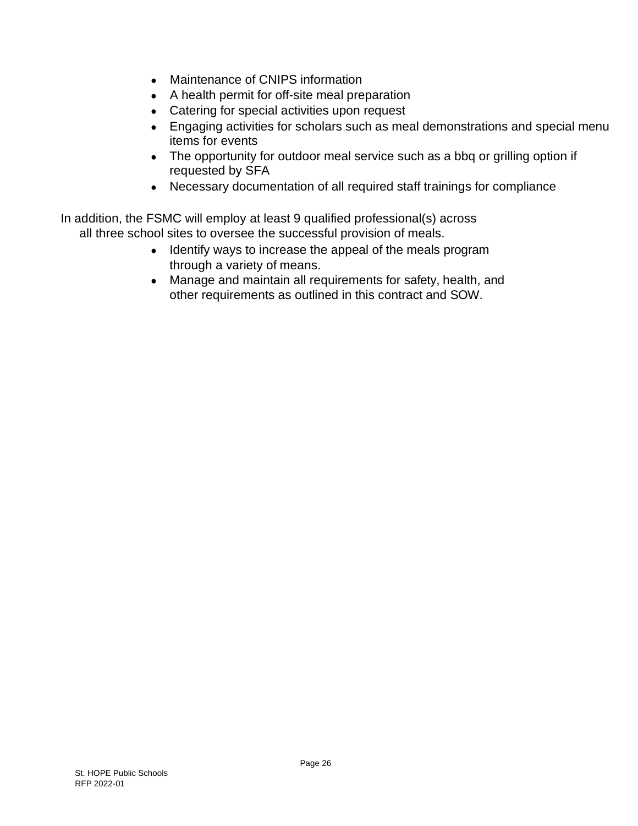- Maintenance of CNIPS information
- A health permit for off-site meal preparation
- Catering for special activities upon request
- Engaging activities for scholars such as meal demonstrations and special menu items for events
- The opportunity for outdoor meal service such as a bbq or grilling option if requested by SFA
- Necessary documentation of all required staff trainings for compliance

In addition, the FSMC will employ at least 9 qualified professional(s) across all three school sites to oversee the successful provision of meals.

- Identify ways to increase the appeal of the meals program through a variety of means.
- Manage and maintain all requirements for safety, health, and other requirements as outlined in this contract and SOW.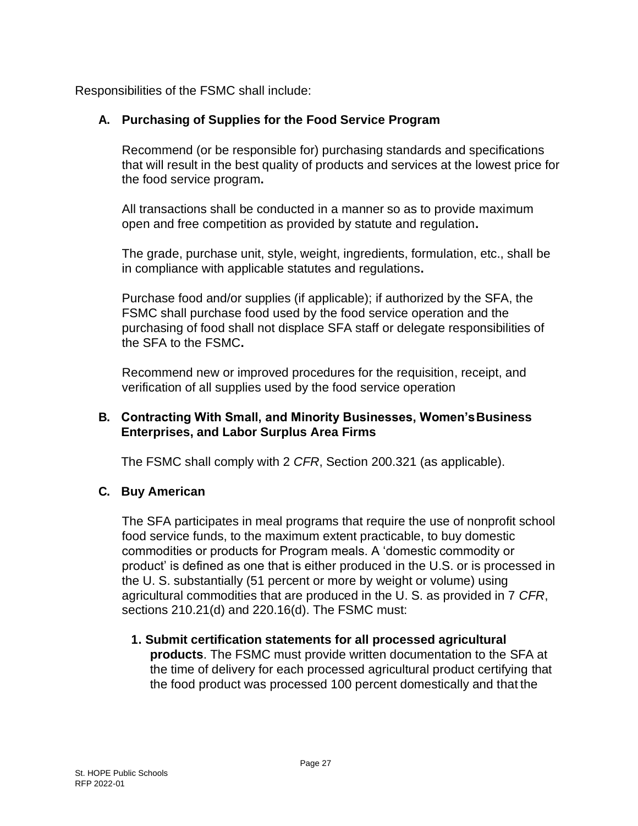Responsibilities of the FSMC shall include:

#### **A. Purchasing of Supplies for the Food Service Program**

Recommend (or be responsible for) purchasing standards and specifications that will result in the best quality of products and services at the lowest price for the food service program**.**

All transactions shall be conducted in a manner so as to provide maximum open and free competition as provided by statute and regulation**.**

The grade, purchase unit, style, weight, ingredients, formulation, etc., shall be in compliance with applicable statutes and regulations**.**

Purchase food and/or supplies (if applicable); if authorized by the SFA, the FSMC shall purchase food used by the food service operation and the purchasing of food shall not displace SFA staff or delegate responsibilities of the SFA to the FSMC**.**

Recommend new or improved procedures for the requisition, receipt, and verification of all supplies used by the food service operation

#### **B. Contracting With Small, and Minority Businesses, Women'sBusiness Enterprises, and Labor Surplus Area Firms**

The FSMC shall comply with 2 *CFR*, Section 200.321 (as applicable).

#### **C. Buy American**

The SFA participates in meal programs that require the use of nonprofit school food service funds, to the maximum extent practicable, to buy domestic commodities or products for Program meals. A 'domestic commodity or product' is defined as one that is either produced in the U.S. or is processed in the U. S. substantially (51 percent or more by weight or volume) using agricultural commodities that are produced in the U. S. as provided in 7 *CFR*, sections 210.21(d) and 220.16(d). The FSMC must:

**1. Submit certification statements for all processed agricultural products**. The FSMC must provide written documentation to the SFA at the time of delivery for each processed agricultural product certifying that the food product was processed 100 percent domestically and that the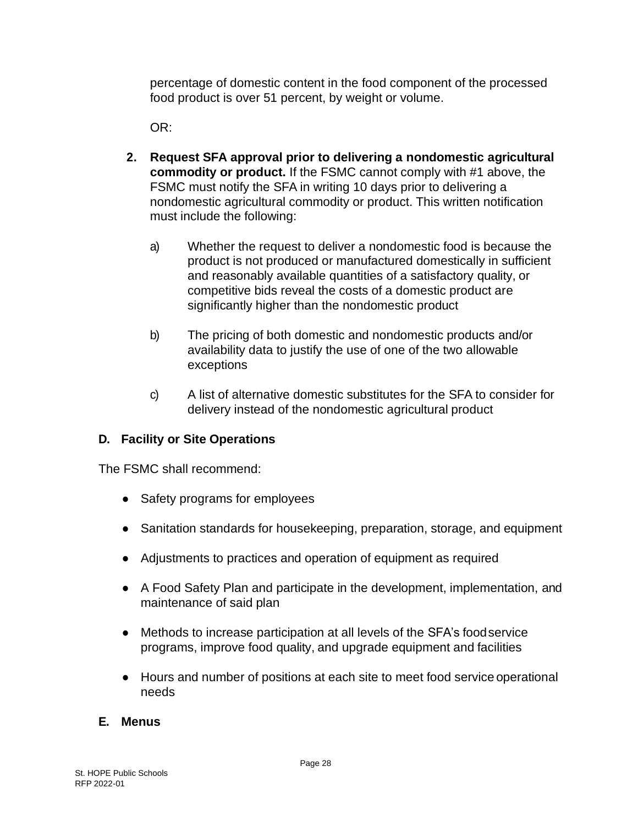percentage of domestic content in the food component of the processed food product is over 51 percent, by weight or volume.

OR:

- **2. Request SFA approval prior to delivering a nondomestic agricultural commodity or product.** If the FSMC cannot comply with #1 above, the FSMC must notify the SFA in writing 10 days prior to delivering a nondomestic agricultural commodity or product. This written notification must include the following:
	- a) Whether the request to deliver a nondomestic food is because the product is not produced or manufactured domestically in sufficient and reasonably available quantities of a satisfactory quality, or competitive bids reveal the costs of a domestic product are significantly higher than the nondomestic product
	- b) The pricing of both domestic and nondomestic products and/or availability data to justify the use of one of the two allowable exceptions
	- c) A list of alternative domestic substitutes for the SFA to consider for delivery instead of the nondomestic agricultural product

#### **D. Facility or Site Operations**

The FSMC shall recommend:

- Safety programs for employees
- Sanitation standards for housekeeping, preparation, storage, and equipment
- Adjustments to practices and operation of equipment as required
- A Food Safety Plan and participate in the development, implementation, and maintenance of said plan
- Methods to increase participation at all levels of the SFA's foodservice programs, improve food quality, and upgrade equipment and facilities
- Hours and number of positions at each site to meet food service operational needs

#### **E. Menus**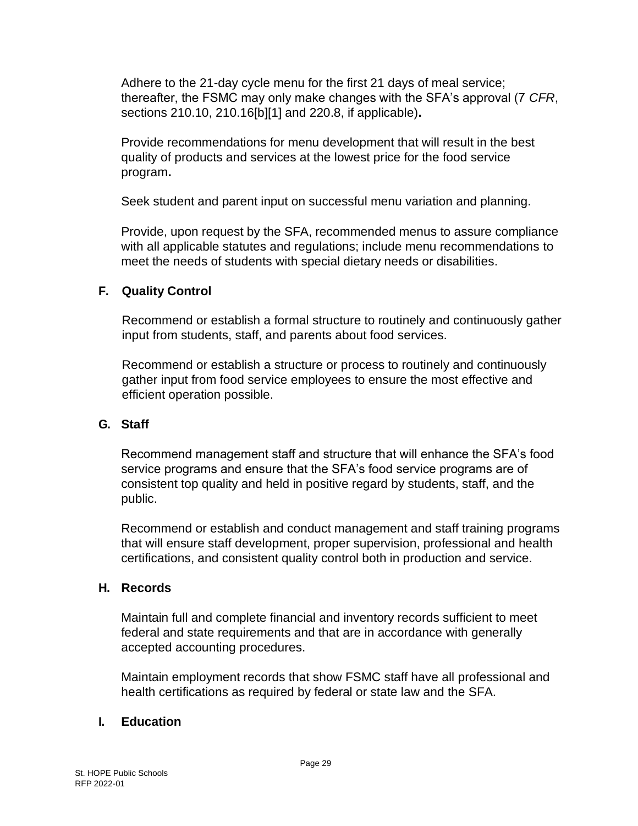Adhere to the 21-day cycle menu for the first 21 days of meal service; thereafter, the FSMC may only make changes with the SFA's approval (7 *CFR*, sections 210.10, 210.16[b][1] and 220.8, if applicable)**.**

Provide recommendations for menu development that will result in the best quality of products and services at the lowest price for the food service program**.**

Seek student and parent input on successful menu variation and planning.

Provide, upon request by the SFA, recommended menus to assure compliance with all applicable statutes and regulations; include menu recommendations to meet the needs of students with special dietary needs or disabilities.

#### **F. Quality Control**

Recommend or establish a formal structure to routinely and continuously gather input from students, staff, and parents about food services.

Recommend or establish a structure or process to routinely and continuously gather input from food service employees to ensure the most effective and efficient operation possible.

#### **G. Staff**

Recommend management staff and structure that will enhance the SFA's food service programs and ensure that the SFA's food service programs are of consistent top quality and held in positive regard by students, staff, and the public.

Recommend or establish and conduct management and staff training programs that will ensure staff development, proper supervision, professional and health certifications, and consistent quality control both in production and service.

#### **H. Records**

Maintain full and complete financial and inventory records sufficient to meet federal and state requirements and that are in accordance with generally accepted accounting procedures.

Maintain employment records that show FSMC staff have all professional and health certifications as required by federal or state law and the SFA.

#### **I. Education**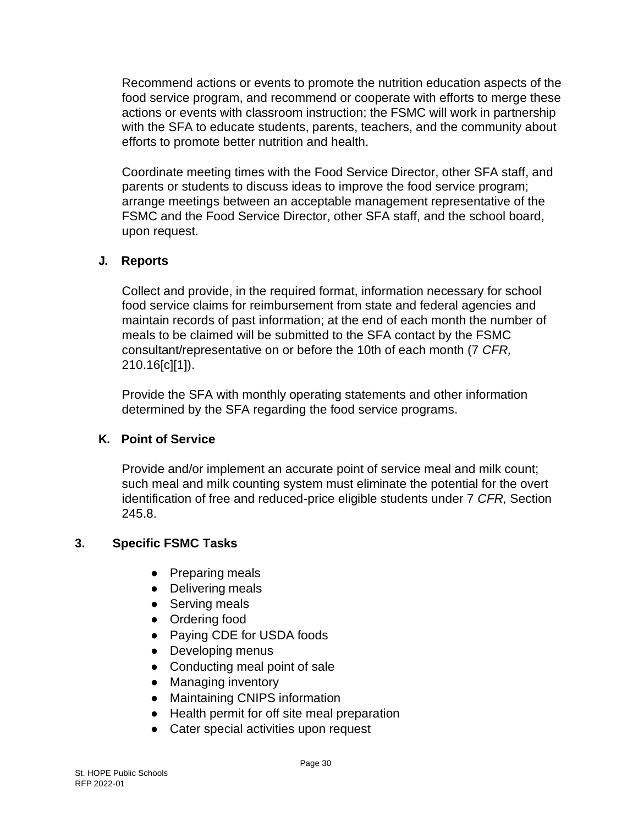Recommend actions or events to promote the nutrition education aspects of the food service program, and recommend or cooperate with efforts to merge these actions or events with classroom instruction; the FSMC will work in partnership with the SFA to educate students, parents, teachers, and the community about efforts to promote better nutrition and health.

Coordinate meeting times with the Food Service Director, other SFA staff, and parents or students to discuss ideas to improve the food service program; arrange meetings between an acceptable management representative of the FSMC and the Food Service Director, other SFA staff, and the school board, upon request.

#### **J. Reports**

Collect and provide, in the required format, information necessary for school food service claims for reimbursement from state and federal agencies and maintain records of past information; at the end of each month the number of meals to be claimed will be submitted to the SFA contact by the FSMC consultant/representative on or before the 10th of each month (7 *CFR,*  210.16[c][1]).

Provide the SFA with monthly operating statements and other information determined by the SFA regarding the food service programs.

#### **K. Point of Service**

Provide and/or implement an accurate point of service meal and milk count; such meal and milk counting system must eliminate the potential for the overt identification of free and reduced-price eligible students under 7 *CFR,* Section 245.8.

#### **3. Specific FSMC Tasks**

- Preparing meals
- Delivering meals
- Serving meals
- Ordering food
- Paying CDE for USDA foods
- Developing menus
- Conducting meal point of sale
- Managing inventory
- Maintaining CNIPS information
- Health permit for off site meal preparation
- Cater special activities upon request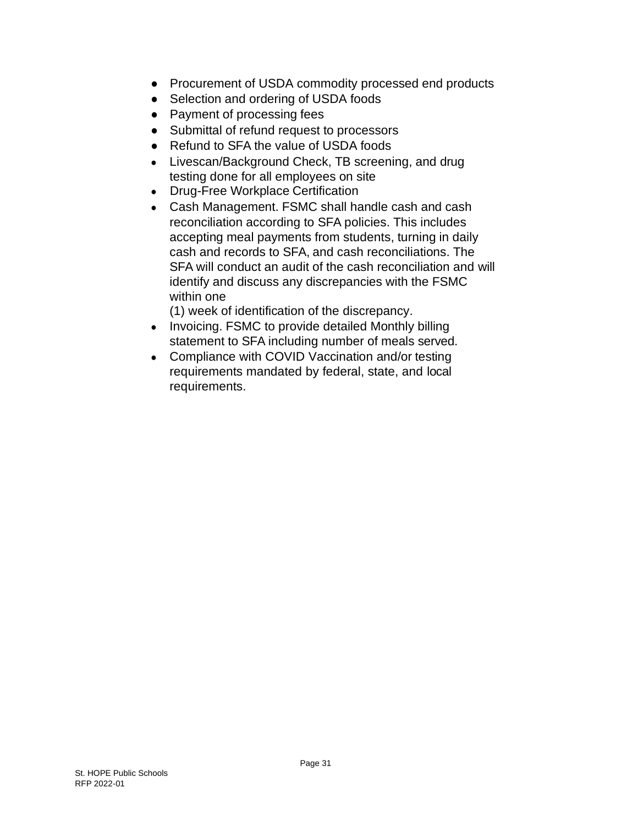- Procurement of USDA commodity processed end products
- Selection and ordering of USDA foods
- Payment of processing fees
- Submittal of refund request to processors
- Refund to SFA the value of USDA foods
- Livescan/Background Check, TB screening, and drug testing done for all employees on site
- Drug-Free Workplace Certification
- Cash Management. FSMC shall handle cash and cash reconciliation according to SFA policies. This includes accepting meal payments from students, turning in daily cash and records to SFA, and cash reconciliations. The SFA will conduct an audit of the cash reconciliation and will identify and discuss any discrepancies with the FSMC within one

(1) week of identification of the discrepancy.

- Invoicing. FSMC to provide detailed Monthly billing statement to SFA including number of meals served.
- Compliance with COVID Vaccination and/or testing requirements mandated by federal, state, and local requirements.